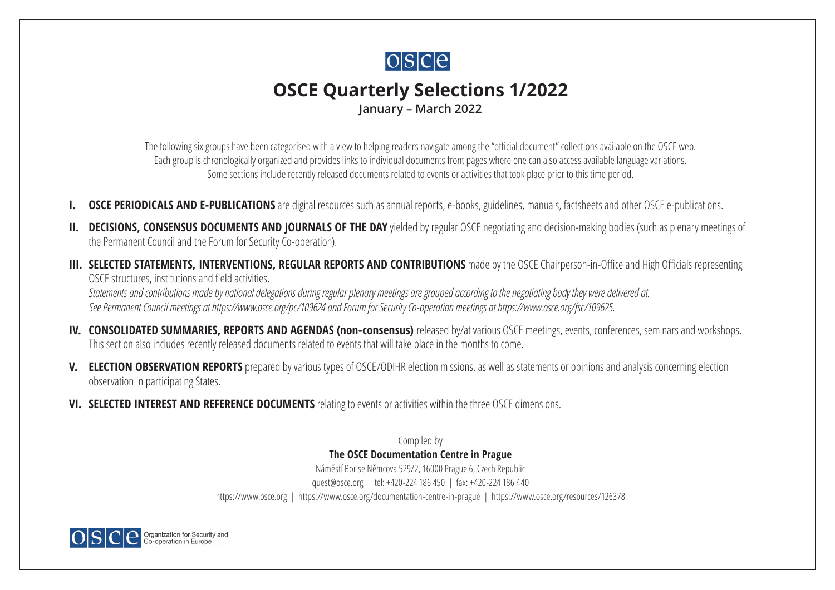

# **OSCE Quarterly Selections 1/2022**

**January – March 2022**

The following six groups have been categorised with a view to helping readers navigate among the "official document" collections available on the OSCE web. Each group is chronologically organized and provides links to individual documents front pages where one can also access available language variations. Some sections include recently released documents related to events or activities that took place prior to this time period.

- **[OSCE PERIODICALS AND E-PUBLICATIONS](#page-2-0)** are digital resources such as annual reports, e-books, guidelines, manuals, factsheets and other OSCE e-publications.
- **II.** [DECISIONS, CONSENSUS DOCUMENTS AND JOURNALS OF THE DAY](#page-10-0) yielded by regular OSCE negotiating and decision-making bodies (such as plenary meetings of the Permanent Council and the Forum for Security Co-operation).
- **III. [SELECTED STATEMENTS, INTERVENTIONS, REGULAR REPORTS AND CONTRIBUTIONS](#page-29-0)** made by the OSCE Chairperson-in-Office and High Officials representing OSCE structures, institutions and field activities.

*Statements and contributions made by national delegations during regular plenary meetings are grouped according to the negotiating body they were delivered at. See Permanent Council meetings at <https://www.osce.org/pc/109624> and Forum for Security Co-operation meetings at <https://www.osce.org/fsc/109625>*.

- **IV. [CONSOLIDATED SUMMARIES, REPORTS AND AGENDAS \(non-consensus\)](#page-33-0)** released by/at various OSCE meetings, events, conferences, seminars and workshops. This section also includes recently released documents related to events that will take place in the months to come.
- **V. [ELECTION OBSERVATION REPORTS](#page-35-0)** prepared by various types of OSCE/ODIHR election missions, as well as statements or opinions and analysis concerning election observation in participating States.
- **VI. [SELECTED INTEREST AND REFERENCE DOCUMENTS](#page-37-0)** relating to events or activities within the three OSCE dimensions.

Compiled by **The OSCE Documentation Centre in Prague** Náměstí Borise Němcova 529/2, 16000 Prague 6, Czech Republic [quest@osce.org](mailto:quest@osce.org) | tel: +420-224 186 450 | fax: +420-224 186 440 <https://www.osce.org> | <https://www.osce.org/documentation-centre-in-prague> | <https://www.osce.org/resources/126378>

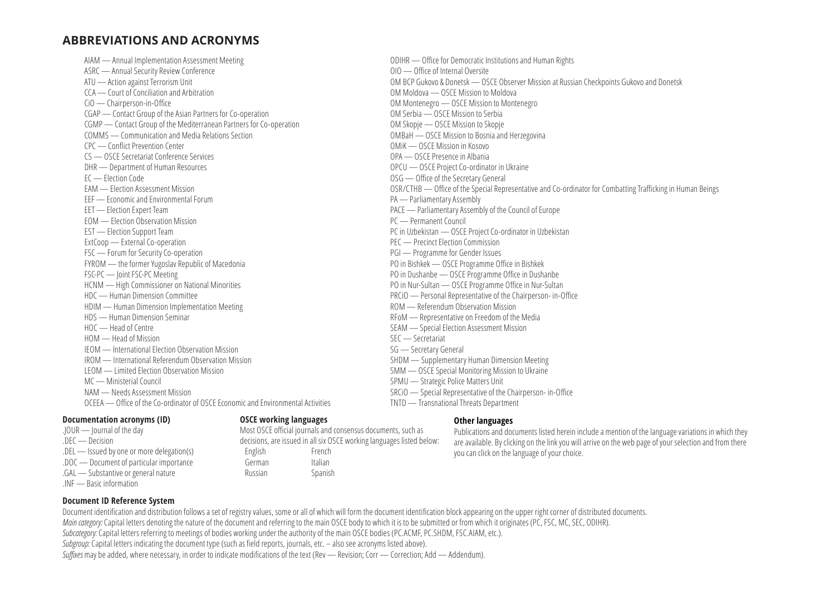### **ABBREVIATIONS AND ACRONYMS**

AIAM — Annual Implementation Assessment Meeting ASRC — Annual Security Review Conference ATU — Action against Terrorism Unit CCA — Court of Conciliation and Arbitration CiO — Chairperson-in-Office CGAP — Contact Group of the Asian Partners for Co-operation CGMP — Contact Group of the Mediterranean Partners for Co-operation COMMS — Communication and Media Relations Section CPC — Conflict Prevention Center CS — OSCE Secretariat Conference Services DHR — Department of Human Resources EC — Election Code EAM — Election Assessment Mission EEF — Economic and Environmental Forum EET — Election Expert Team EOM — Election Observation Mission EST — Election Support Team ExtCoop — External Co-operation FSC — Forum for Security Co-operation FYROM — the former Yugoslav Republic of Macedonia FSC-PC — Joint FSC-PC Meeting HCNM — High Commissioner on National Minorities HDC — Human Dimension Committee HDIM — Human Dimension Implementation Meeting HDS — Human Dimension Seminar HOC — Head of Centre HOM — Head of Mission IEOM — International Election Observation Mission IROM — International Referendum Observation Mission LEOM — Limited Election Observation Mission MC — Ministerial Council NAM — Needs Assessment Mission OCEEA — Office of the Co-ordinator of OSCE Economic and Environmental Activities

#### **Documentation acronyms (ID)**

- .JOUR Journal of the day
- .DEC Decision
- .DEL Issued by one or more delegation(s)
- .DOC Document of particular importance
- .GAL Substantive or general nature
- .INF Basic information

#### **OSCE working languages**

Most OSCE official journals and consensus documents, such as decisions, are issued in all six OSCE working languages listed below: English French German Italian Russian Spanish

#### **Other languages**

SRCiO — Special Representative of the Chairperson- in-Office

SPMU — Strategic Police Matters Unit

TNTD — Transnational Threats Department

Publications and documents listed herein include a mention of the language variations in which they are available. By clicking on the link you will arrive on the web page of your selection and from there you can click on the language of your choice.

ODIHR — Office for Democratic Institutions and Human Rights OIO — Office of Internal Oversite OM BCP Gukovo & Donetsk — OSCE Observer Mission at Russian Checkpoints Gukovo and Donetsk OM Moldova — OSCE Mission to Moldova OM Montenegro — OSCE Mission to Montenegro OM Serbia — OSCE Mission to Serbia OM Skopje — OSCE Mission to Skopje OMBaH — OSCE Mission to Bosnia and Herzegovina OMiK — OSCE Mission in Kosovo OPA — OSCE Presence in Albania OPCU — OSCE Project Co-ordinator in Ukraine OSG — Office of the Secretary General OSR/CTHB — Office of the Special Representative and Co-ordinator for Combatting Trafficking in Human Beings PA — Parliamentary Assembly PACE — Parliamentary Assembly of the Council of Europe PC — Permanent Council PC in Uzbekistan — OSCE Project Co-ordinator in Uzbekistan PEC — Precinct Election Commission PGI — Programme for Gender Issues PO in Bishkek — OSCE Programme Office in Bishkek PO in Dushanbe — OSCE Programme Office in Dushanbe PO in Nur-Sultan — OSCE Programme Office in Nur-Sultan PRCiO — Personal Representative of the Chairperson- in-Office ROM — Referendum Observation Mission RFoM — Representative on Freedom of the Media SEAM — Special Election Assessment Mission SEC — Secretariat SG — Secretary General SHDM — Supplementary Human Dimension Meeting SMM — OSCE Special Monitoring Mission to Ukraine

#### **Document ID Reference System**

Document identification and distribution follows a set of registry values, some or all of which will form the document identification block appearing on the upper right corner of distributed documents. *Main category:* Capital letters denoting the nature of the document and referring to the main OSCE body to which it is to be submitted or from which it originates (PC, FSC, MC, SEC, ODIHR). *Subcategory:* Capital letters referring to meetings of bodies working under the authority of the main OSCE bodies (PC.ACMF, PC.SHDM, FSC.AIAM, etc.). *Subgroup:* Capital letters indicating the document type (such as field reports, journals, etc. – also see acronyms listed above). *Suffixes* may be added, where necessary, in order to indicate modifications of the text (Rev — Revision; Corr — Correction; Add — Addendum).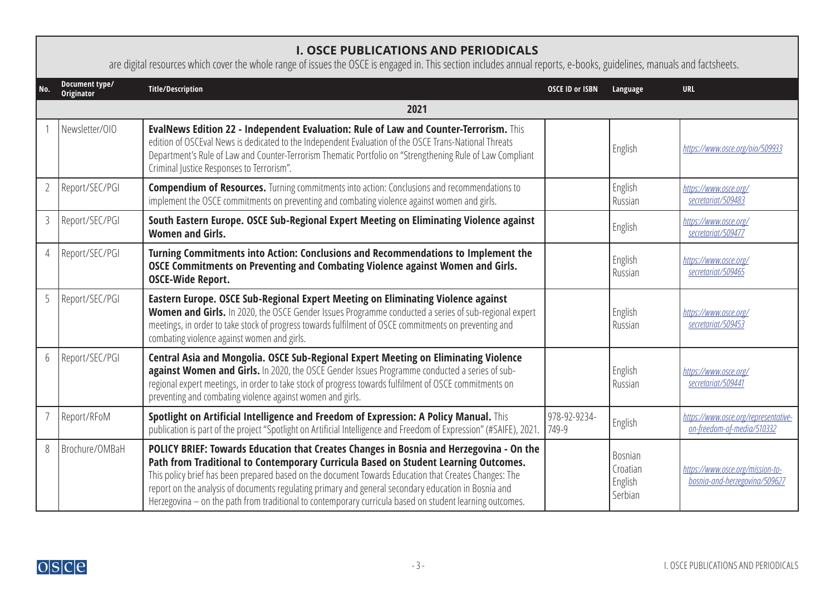## <span id="page-2-0"></span>**I. OSCE PUBLICATIONS AND PERIODICALS**

are digital resources which cover the whole range of issues the OSCE is engaged in. This section includes annual reports, e-books, guidelines, manuals and factsheets.

| No.            | Document type/<br>Originator | <b>Title/Description</b>                                                                                                                                                                                                                                                                                                                                                                                                                                                                                    | <b>OSCE ID or ISBN</b> | Language                                  | <b>URL</b>                                                         |
|----------------|------------------------------|-------------------------------------------------------------------------------------------------------------------------------------------------------------------------------------------------------------------------------------------------------------------------------------------------------------------------------------------------------------------------------------------------------------------------------------------------------------------------------------------------------------|------------------------|-------------------------------------------|--------------------------------------------------------------------|
|                |                              | 2021                                                                                                                                                                                                                                                                                                                                                                                                                                                                                                        |                        |                                           |                                                                    |
|                | Newsletter/010               | EvalNews Edition 22 - Independent Evaluation: Rule of Law and Counter-Terrorism. This<br>edition of OSCEval News is dedicated to the Independent Evaluation of the OSCE Trans-National Threats<br>Department's Rule of Law and Counter-Terrorism Thematic Portfolio on "Strengthening Rule of Law Compliant<br>Criminal Justice Responses to Terrorism".                                                                                                                                                    |                        | English                                   | https://www.osce.org/oio/509933                                    |
|                | Report/SEC/PGI               | <b>Compendium of Resources.</b> Turning commitments into action: Conclusions and recommendations to<br>implement the OSCE commitments on preventing and combating violence against women and girls.                                                                                                                                                                                                                                                                                                         |                        | English<br>Russian                        | https://www.osce.org/<br>secretariat/509483                        |
| 3              | Report/SEC/PGI               | South Eastern Europe. OSCE Sub-Regional Expert Meeting on Eliminating Violence against<br><b>Women and Girls.</b>                                                                                                                                                                                                                                                                                                                                                                                           |                        | English                                   | https://www.osce.org/<br>secretariat/509477                        |
| $\overline{4}$ | Report/SEC/PGI               | Turning Commitments into Action: Conclusions and Recommendations to Implement the<br>OSCE Commitments on Preventing and Combating Violence against Women and Girls.<br><b>OSCE-Wide Report.</b>                                                                                                                                                                                                                                                                                                             |                        | English<br>Russian                        | https://www.osce.org/<br>secretariat/509465                        |
| 5              | Report/SEC/PGI               | Eastern Europe. OSCE Sub-Regional Expert Meeting on Eliminating Violence against<br>Women and Girls. In 2020, the OSCE Gender Issues Programme conducted a series of sub-regional expert<br>meetings, in order to take stock of progress towards fulfilment of OSCE commitments on preventing and<br>combating violence against women and girls.                                                                                                                                                            |                        | English<br>Russian                        | https://www.osce.org/<br>secretariat/509453                        |
| 6              | Report/SEC/PGI               | Central Asia and Mongolia. OSCE Sub-Regional Expert Meeting on Eliminating Violence<br>against Women and Girls. In 2020, the OSCE Gender Issues Programme conducted a series of sub-<br>regional expert meetings, in order to take stock of progress towards fulfilment of OSCE commitments on<br>preventing and combating violence against women and girls.                                                                                                                                                |                        | English<br>Russian                        | https://www.osce.org/<br>secretariat/509441                        |
|                | Report/RFoM                  | Spotlight on Artificial Intelligence and Freedom of Expression: A Policy Manual. This<br>publication is part of the project "Spotlight on Artificial Intelligence and Freedom of Expression" (#SAIFE), 2021.                                                                                                                                                                                                                                                                                                | 978-92-9234-<br>749-9  | English                                   | https://www.osce.org/representative-<br>on-freedom-of-media/510332 |
| 8              | Brochure/OMBaH               | POLICY BRIEF: Towards Education that Creates Changes in Bosnia and Herzegovina - On the<br>Path from Traditional to Contemporary Curricula Based on Student Learning Outcomes.<br>This policy brief has been prepared based on the document Towards Education that Creates Changes: The<br>report on the analysis of documents regulating primary and general secondary education in Bosnia and<br>Herzegovina - on the path from traditional to contemporary curricula based on student learning outcomes. |                        | Bosnian<br>Croatian<br>English<br>Serbian | https://www.osce.org/mission-to-<br>bosnia-and-herzegovina/509627  |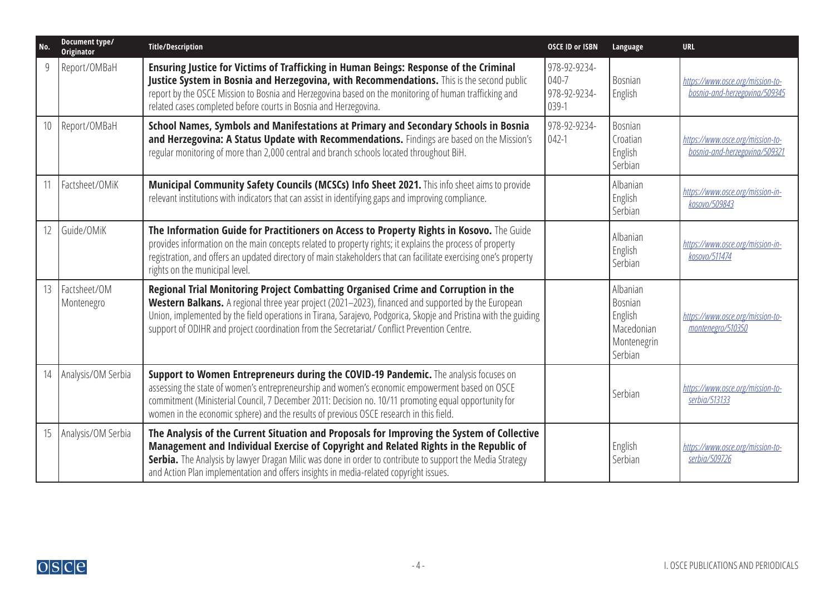| No. | Document type/<br><b>Originator</b> | <b>Title/Description</b>                                                                                                                                                                                                                                                                                                                                                                                   | <b>OSCE ID or ISBN</b>                             | Language                                                                      | <b>URL</b>                                                        |
|-----|-------------------------------------|------------------------------------------------------------------------------------------------------------------------------------------------------------------------------------------------------------------------------------------------------------------------------------------------------------------------------------------------------------------------------------------------------------|----------------------------------------------------|-------------------------------------------------------------------------------|-------------------------------------------------------------------|
|     | Report/OMBaH                        | Ensuring Justice for Victims of Trafficking in Human Beings: Response of the Criminal<br>Justice System in Bosnia and Herzegovina, with Recommendations. This is the second public<br>report by the OSCE Mission to Bosnia and Herzegovina based on the monitoring of human trafficking and<br>related cases completed before courts in Bosnia and Herzegovina.                                            | 978-92-9234-<br>$040 - 7$<br>978-92-9234-<br>039-1 | Bosnian<br>English                                                            | https://www.osce.org/mission-to-<br>bosnia-and-herzegovina/509345 |
| 10  | Report/OMBaH                        | School Names, Symbols and Manifestations at Primary and Secondary Schools in Bosnia<br>and Herzegovina: A Status Update with Recommendations. Findings are based on the Mission's<br>regular monitoring of more than 2,000 central and branch schools located throughout BiH.                                                                                                                              | 978-92-9234-<br>$042-1$                            | Bosnian<br>Croatian<br>English<br>Serbian                                     | https://www.osce.org/mission-to-<br>bosnia-and-herzegovina/509321 |
|     | Factsheet/OMiK                      | Municipal Community Safety Councils (MCSCs) Info Sheet 2021. This info sheet aims to provide<br>relevant institutions with indicators that can assist in identifying gaps and improving compliance.                                                                                                                                                                                                        |                                                    | Albanian<br>English<br>Serbian                                                | https://www.osce.org/mission-in-<br>kosovo/509843                 |
| 12  | Guide/OMiK                          | The Information Guide for Practitioners on Access to Property Rights in Kosovo. The Guide<br>provides information on the main concepts related to property rights; it explains the process of property<br>registration, and offers an updated directory of main stakeholders that can facilitate exercising one's property<br>rights on the municipal level.                                               |                                                    | Albanian<br>English<br>Serbian                                                | https://www.osce.org/mission-in-<br>kosovo/511474                 |
| 13  | Factsheet/OM<br>Montenegro          | Regional Trial Monitoring Project Combatting Organised Crime and Corruption in the<br>Western Balkans. A regional three year project (2021-2023), financed and supported by the European<br>Union, implemented by the field operations in Tirana, Sarajevo, Podgorica, Skopje and Pristina with the guiding<br>support of ODIHR and project coordination from the Secretariat/ Conflict Prevention Centre. |                                                    | Albanian<br><b>Bosnian</b><br>English<br>Macedonian<br>Montenegrin<br>Serbian | https://www.osce.org/mission-to-<br>montenegro/510350             |
| 14  | Analysis/OM Serbia                  | Support to Women Entrepreneurs during the COVID-19 Pandemic. The analysis focuses on<br>assessing the state of women's entrepreneurship and women's economic empowerment based on OSCE<br>commitment (Ministerial Council, 7 December 2011: Decision no. 10/11 promoting equal opportunity for<br>women in the economic sphere) and the results of previous OSCE research in this field.                   |                                                    | Serbian                                                                       | https://www.osce.org/mission-to-<br>serbia/513133                 |
| 15  | Analysis/OM Serbia                  | The Analysis of the Current Situation and Proposals for Improving the System of Collective<br>Management and Individual Exercise of Copyright and Related Rights in the Republic of<br>Serbia. The Analysis by lawyer Dragan Milic was done in order to contribute to support the Media Strategy<br>and Action Plan implementation and offers insights in media-related copyright issues.                  |                                                    | English<br>Serbian                                                            | https://www.osce.org/mission-to-<br>serbia/509726                 |

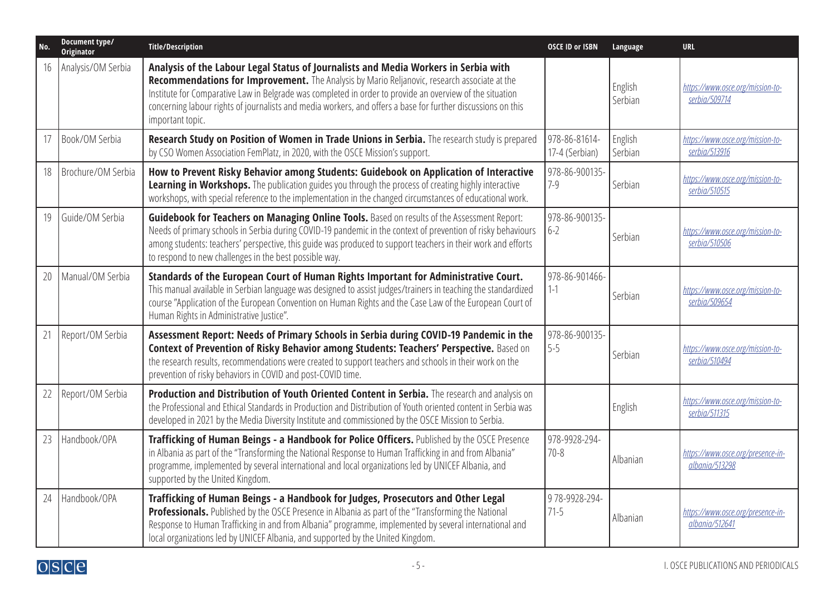| No. | Document type/<br>Originator | <b>Title/Description</b>                                                                                                                                                                                                                                                                                                                                                                                                            | <b>OSCE ID or ISBN</b>          | Language           | <b>URL</b>                                          |
|-----|------------------------------|-------------------------------------------------------------------------------------------------------------------------------------------------------------------------------------------------------------------------------------------------------------------------------------------------------------------------------------------------------------------------------------------------------------------------------------|---------------------------------|--------------------|-----------------------------------------------------|
| 16  | Analysis/OM Serbia           | Analysis of the Labour Legal Status of Journalists and Media Workers in Serbia with<br>Recommendations for Improvement. The Analysis by Mario Reljanovic, research associate at the<br>Institute for Comparative Law in Belgrade was completed in order to provide an overview of the situation<br>concerning labour rights of journalists and media workers, and offers a base for further discussions on this<br>important topic. |                                 | English<br>Serbian | https://www.osce.org/mission-to-<br>serbia/509714   |
| 17  | Book/OM Serbia               | Research Study on Position of Women in Trade Unions in Serbia. The research study is prepared<br>by CSO Women Association FemPlatz, in 2020, with the OSCE Mission's support.                                                                                                                                                                                                                                                       | 978-86-81614-<br>17-4 (Serbian) | English<br>Serbian | https://www.osce.org/mission-to-<br>serbia/513916   |
| 18  | Brochure/OM Serbia           | How to Prevent Risky Behavior among Students: Guidebook on Application of Interactive<br>Learning in Workshops. The publication guides you through the process of creating highly interactive<br>workshops, with special reference to the implementation in the changed circumstances of educational work.                                                                                                                          | 978-86-900135-<br>$7 - 9$       | Serbian            | https://www.osce.org/mission-to-<br>serbia/510515   |
| 19  | Guide/OM Serbia              | Guidebook for Teachers on Managing Online Tools. Based on results of the Assessment Report:<br>Needs of primary schools in Serbia during COVID-19 pandemic in the context of prevention of risky behaviours<br>among students: teachers' perspective, this guide was produced to support teachers in their work and efforts<br>to respond to new challenges in the best possible way.                                               | 978-86-900135-<br>$6-2$         | Serbian            | https://www.osce.org/mission-to-<br>serbia/510506   |
| 20  | Manual/OM Serbia             | Standards of the European Court of Human Rights Important for Administrative Court.<br>This manual available in Serbian language was designed to assist judges/trainers in teaching the standardized<br>course "Application of the European Convention on Human Rights and the Case Law of the European Court of<br>Human Rights in Administrative Justice".                                                                        | 978-86-901466-<br>$1 - 1$       | Serbian            | https://www.osce.org/mission-to-<br>serbia/509654   |
| 21  | Report/OM Serbia             | Assessment Report: Needs of Primary Schools in Serbia during COVID-19 Pandemic in the<br>Context of Prevention of Risky Behavior among Students: Teachers' Perspective. Based on<br>the research results, recommendations were created to support teachers and schools in their work on the<br>prevention of risky behaviors in COVID and post-COVID time.                                                                          | 978-86-900135-<br>$5 - 5$       | Serbian            | https://www.osce.org/mission-to-<br>serbia/510494   |
| 22  | Report/OM Serbia             | Production and Distribution of Youth Oriented Content in Serbia. The research and analysis on<br>the Professional and Ethical Standards in Production and Distribution of Youth oriented content in Serbia was<br>developed in 2021 by the Media Diversity Institute and commissioned by the OSCE Mission to Serbia.                                                                                                                |                                 | English            | https://www.osce.org/mission-to-<br>serbia/511315   |
| 23  | Handbook/OPA                 | Trafficking of Human Beings - a Handbook for Police Officers. Published by the OSCE Presence<br>in Albania as part of the "Transforming the National Response to Human Trafficking in and from Albania"<br>programme, implemented by several international and local organizations led by UNICEF Albania, and<br>supported by the United Kingdom.                                                                                   | 978-9928-294-<br>$70 - 8$       | Albanian           | https://www.osce.org/presence-in-<br>albania/513298 |
| 24  | Handbook/OPA                 | Trafficking of Human Beings - a Handbook for Judges, Prosecutors and Other Legal<br>Professionals. Published by the OSCE Presence in Albania as part of the "Transforming the National<br>Response to Human Trafficking in and from Albania" programme, implemented by several international and<br>local organizations led by UNICEF Albania, and supported by the United Kingdom.                                                 | 978-9928-294-<br>$71-5$         | Albanian           | https://www.osce.org/presence-in-<br>albania/512641 |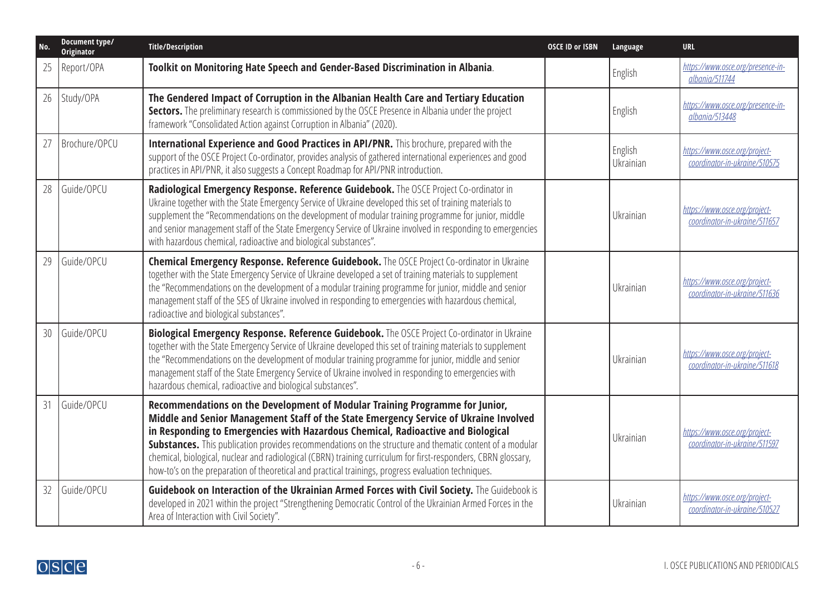| No. | Document type/<br>Originator | <b>Title/Description</b>                                                                                                                                                                                                                                                                                                                                                                                                                                                                                                                                                                              | <b>OSCE ID or ISBN</b> | Language             | <b>URL</b>                                                     |
|-----|------------------------------|-------------------------------------------------------------------------------------------------------------------------------------------------------------------------------------------------------------------------------------------------------------------------------------------------------------------------------------------------------------------------------------------------------------------------------------------------------------------------------------------------------------------------------------------------------------------------------------------------------|------------------------|----------------------|----------------------------------------------------------------|
| 25  | Report/OPA                   | Toolkit on Monitoring Hate Speech and Gender-Based Discrimination in Albania.                                                                                                                                                                                                                                                                                                                                                                                                                                                                                                                         |                        | English              | https://www.osce.org/presence-in-<br>albania/511744            |
| 26  | Study/OPA                    | The Gendered Impact of Corruption in the Albanian Health Care and Tertiary Education<br>Sectors. The preliminary research is commissioned by the OSCE Presence in Albania under the project<br>framework "Consolidated Action against Corruption in Albania" (2020).                                                                                                                                                                                                                                                                                                                                  |                        | English              | https://www.osce.org/presence-in-<br>albania/513448            |
| 27  | Brochure/OPCU                | International Experience and Good Practices in API/PNR. This brochure, prepared with the<br>support of the OSCE Project Co-ordinator, provides analysis of gathered international experiences and good<br>practices in API/PNR, it also suggests a Concept Roadmap for API/PNR introduction.                                                                                                                                                                                                                                                                                                          |                        | English<br>Ukrainian | https://www.osce.org/project-<br>coordinator-in-ukraine/510575 |
| 28  | Guide/OPCU                   | Radiological Emergency Response. Reference Guidebook. The OSCE Project Co-ordinator in<br>Ukraine together with the State Emergency Service of Ukraine developed this set of training materials to<br>supplement the "Recommendations on the development of modular training programme for junior, middle<br>and senior management staff of the State Emergency Service of Ukraine involved in responding to emergencies<br>with hazardous chemical, radioactive and biological substances".                                                                                                          |                        | Ukrainian            | https://www.osce.org/project-<br>coordinator-in-ukraine/511657 |
| 29  | Guide/OPCU                   | <b>Chemical Emergency Response. Reference Guidebook.</b> The OSCE Project Co-ordinator in Ukraine<br>together with the State Emergency Service of Ukraine developed a set of training materials to supplement<br>the "Recommendations on the development of a modular training programme for junior, middle and senior<br>management staff of the SES of Ukraine involved in responding to emergencies with hazardous chemical,<br>radioactive and biological substances".                                                                                                                            |                        | Ukrainian            | https://www.osce.org/project-<br>coordinator-in-ukraine/511636 |
| 30  | Guide/OPCU                   | Biological Emergency Response. Reference Guidebook. The OSCE Project Co-ordinator in Ukraine<br>together with the State Emergency Service of Ukraine developed this set of training materials to supplement<br>the "Recommendations on the development of modular training programme for junior, middle and senior<br>management staff of the State Emergency Service of Ukraine involved in responding to emergencies with<br>hazardous chemical, radioactive and biological substances".                                                                                                            |                        | Ukrainian            | https://www.osce.org/project-<br>coordinator-in-ukraine/511618 |
| 31  | Guide/OPCU                   | Recommendations on the Development of Modular Training Programme for Junior,<br>Middle and Senior Management Staff of the State Emergency Service of Ukraine Involved<br>in Responding to Emergencies with Hazardous Chemical, Radioactive and Biological<br><b>Substances.</b> This publication provides recommendations on the structure and thematic content of a modular<br>chemical, biological, nuclear and radiological (CBRN) training curriculum for first-responders, CBRN glossary,<br>how-to's on the preparation of theoretical and practical trainings, progress evaluation techniques. |                        | Ukrainian            | https://www.osce.org/project-<br>coordinator-in-ukraine/511597 |
| 32  | Guide/OPCU                   | Guidebook on Interaction of the Ukrainian Armed Forces with Civil Society. The Guidebook is<br>developed in 2021 within the project "Strengthening Democratic Control of the Ukrainian Armed Forces in the<br>Area of Interaction with Civil Society".                                                                                                                                                                                                                                                                                                                                                |                        | Ukrainian            | https://www.osce.org/project-<br>coordinator-in-ukraine/510527 |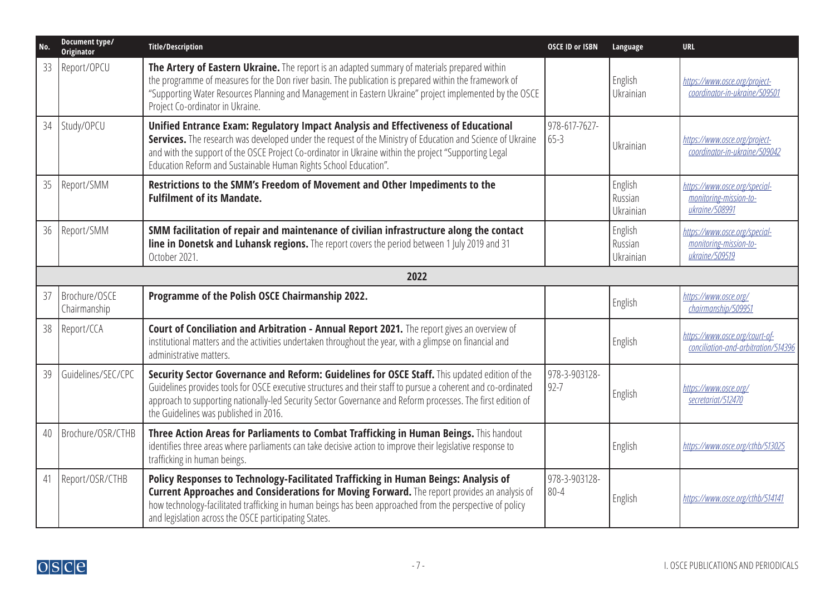| No. | Document type/<br>Originator  | <b>Title/Description</b>                                                                                                                                                                                                                                                                                                                                                      | <b>OSCE ID or ISBN</b>    | Language                        | <b>URL</b>                                                                |
|-----|-------------------------------|-------------------------------------------------------------------------------------------------------------------------------------------------------------------------------------------------------------------------------------------------------------------------------------------------------------------------------------------------------------------------------|---------------------------|---------------------------------|---------------------------------------------------------------------------|
| 33  | Report/OPCU                   | The Artery of Eastern Ukraine. The report is an adapted summary of materials prepared within<br>the programme of measures for the Don river basin. The publication is prepared within the framework of<br>"Supporting Water Resources Planning and Management in Eastern Ukraine" project implemented by the OSCE<br>Project Co-ordinator in Ukraine.                         |                           | English<br>Ukrainian            | https://www.osce.org/project-<br>coordinator-in-ukraine/509501            |
| 34  | Study/OPCU                    | Unified Entrance Exam: Regulatory Impact Analysis and Effectiveness of Educational<br>Services. The research was developed under the request of the Ministry of Education and Science of Ukraine<br>and with the support of the OSCE Project Co-ordinator in Ukraine within the project "Supporting Legal<br>Education Reform and Sustainable Human Rights School Education". | 978-617-7627-<br>$65-3$   | Ukrainian                       | https://www.osce.org/project-<br>coordinator-in-ukraine/509042            |
| 35  | Report/SMM                    | Restrictions to the SMM's Freedom of Movement and Other Impediments to the<br><b>Fulfilment of its Mandate.</b>                                                                                                                                                                                                                                                               |                           | English<br>Russian<br>Ukrainian | https://www.osce.org/special-<br>monitoring-mission-to-<br>ukraine/508991 |
| 36  | Report/SMM                    | SMM facilitation of repair and maintenance of civilian infrastructure along the contact<br>line in Donetsk and Luhansk regions. The report covers the period between 1 July 2019 and 31<br>October 2021.                                                                                                                                                                      |                           | English<br>Russian<br>Ukrainian | https://www.osce.org/special-<br>monitoring-mission-to-<br>ukraine/509519 |
|     |                               | 2022                                                                                                                                                                                                                                                                                                                                                                          |                           |                                 |                                                                           |
| 37  | Brochure/OSCE<br>Chairmanship | Programme of the Polish OSCE Chairmanship 2022.                                                                                                                                                                                                                                                                                                                               |                           | <b>English</b>                  | https://www.osce.org/<br>chairmanship/509951                              |
| 38  | Report/CCA                    | Court of Conciliation and Arbitration - Annual Report 2021. The report gives an overview of<br>institutional matters and the activities undertaken throughout the year, with a glimpse on financial and<br>administrative matters.                                                                                                                                            |                           | English                         | https://www.osce.org/court-of-<br>conciliation-and-arbitration/514396     |
| 39  | Guidelines/SEC/CPC            | Security Sector Governance and Reform: Guidelines for OSCE Staff. This updated edition of the<br>Guidelines provides tools for OSCE executive structures and their staff to pursue a coherent and co-ordinated<br>approach to supporting nationally-led Security Sector Governance and Reform processes. The first edition of<br>the Guidelines was published in 2016.        | 978-3-903128-<br>$92 - 7$ | English                         | https://www.osce.org/<br>secretariat/512470                               |
| 40  | Brochure/OSR/CTHB             | Three Action Areas for Parliaments to Combat Trafficking in Human Beings. This handout<br>identifies three areas where parliaments can take decisive action to improve their legislative response to<br>trafficking in human beings.                                                                                                                                          |                           | English                         | https://www.osce.org/cthb/513025                                          |
| 41  | Report/OSR/CTHB               | Policy Responses to Technology-Facilitated Trafficking in Human Beings: Analysis of<br>Current Approaches and Considerations for Moving Forward. The report provides an analysis of<br>how technology-facilitated trafficking in human beings has been approached from the perspective of policy<br>and legislation across the OSCE participating States.                     | 978-3-903128-<br>$80 - 4$ | English                         | https://www.osce.org/cthb/514141                                          |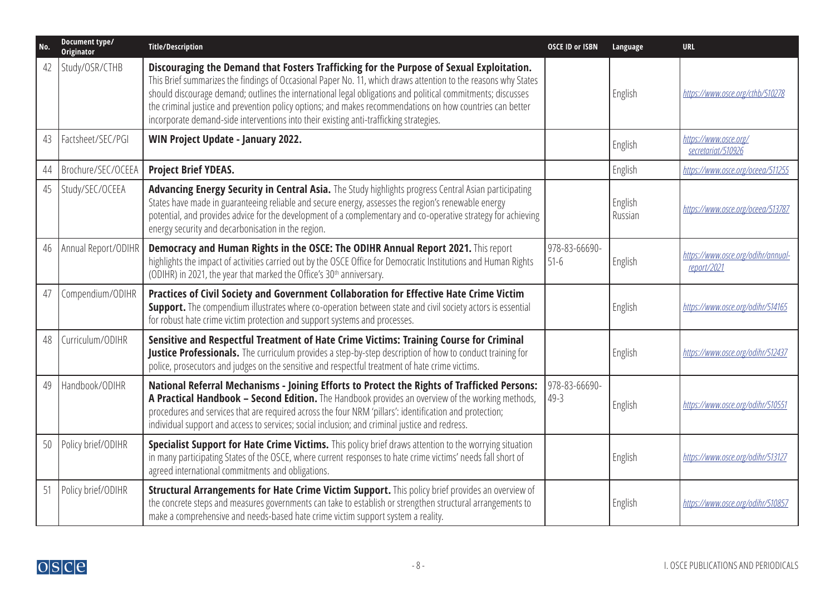| No. | Document type/<br><b>Originator</b> | <b>Title/Description</b>                                                                                                                                                                                                                                                                                                                                                                                                                                                                                                         | <b>OSCE ID or ISBN</b>    | Language           | <b>URL</b>                                        |
|-----|-------------------------------------|----------------------------------------------------------------------------------------------------------------------------------------------------------------------------------------------------------------------------------------------------------------------------------------------------------------------------------------------------------------------------------------------------------------------------------------------------------------------------------------------------------------------------------|---------------------------|--------------------|---------------------------------------------------|
| 42  | Study/OSR/CTHB                      | Discouraging the Demand that Fosters Trafficking for the Purpose of Sexual Exploitation.<br>This Brief summarizes the findings of Occasional Paper No. 11, which draws attention to the reasons why States<br>should discourage demand; outlines the international legal obligations and political commitments; discusses<br>the criminal justice and prevention policy options; and makes recommendations on how countries can better<br>incorporate demand-side interventions into their existing anti-trafficking strategies. |                           | English            | https://www.osce.org/cthb/510278                  |
| 43  | Factsheet/SEC/PGI                   | WIN Project Update - January 2022.                                                                                                                                                                                                                                                                                                                                                                                                                                                                                               |                           | English            | https://www.osce.org/<br>secretariat/510926       |
| 44  | Brochure/SEC/OCEEA                  | <b>Project Brief YDEAS.</b>                                                                                                                                                                                                                                                                                                                                                                                                                                                                                                      |                           | English            | https://www.osce.org/oceea/511255                 |
| 45  | Study/SEC/OCEEA                     | Advancing Energy Security in Central Asia. The Study highlights progress Central Asian participating<br>States have made in guaranteeing reliable and secure energy, assesses the region's renewable energy<br>potential, and provides advice for the development of a complementary and co-operative strategy for achieving<br>energy security and decarbonisation in the region.                                                                                                                                               |                           | English<br>Russian | https://www.osce.org/oceea/513787                 |
| 46  | Annual Report/ODIHR                 | Democracy and Human Rights in the OSCE: The ODIHR Annual Report 2021. This report<br>highlights the impact of activities carried out by the OSCE Office for Democratic Institutions and Human Rights<br>(ODIHR) in 2021, the year that marked the Office's 30 <sup>th</sup> anniversary.                                                                                                                                                                                                                                         | 978-83-66690-<br>$51-6$   | English            | https://www.osce.org/odihr/annual-<br>report/2021 |
| 47  | Compendium/ODIHR                    | Practices of Civil Society and Government Collaboration for Effective Hate Crime Victim<br><b>Support.</b> The compendium illustrates where co-operation between state and civil society actors is essential<br>for robust hate crime victim protection and support systems and processes.                                                                                                                                                                                                                                       |                           | English            | https://www.osce.org/odihr/514165                 |
| 48  | Curriculum/ODIHR                    | Sensitive and Respectful Treatment of Hate Crime Victims: Training Course for Criminal<br>Justice Professionals. The curriculum provides a step-by-step description of how to conduct training for<br>police, prosecutors and judges on the sensitive and respectful treatment of hate crime victims.                                                                                                                                                                                                                            |                           | English            | https://www.osce.org/odihr/512437                 |
| 49  | Handbook/ODIHR                      | National Referral Mechanisms - Joining Efforts to Protect the Rights of Trafficked Persons:<br>A Practical Handbook - Second Edition. The Handbook provides an overview of the working methods,<br>procedures and services that are required across the four NRM 'pillars': identification and protection;<br>individual support and access to services; social inclusion; and criminal justice and redress.                                                                                                                     | 978-83-66690-<br>$49 - 3$ | English            | https://www.osce.org/odihr/510551                 |
| 50  | Policy brief/ODIHR                  | Specialist Support for Hate Crime Victims. This policy brief draws attention to the worrying situation<br>in many participating States of the OSCE, where current responses to hate crime victims' needs fall short of<br>agreed international commitments and obligations.                                                                                                                                                                                                                                                      |                           | English            | https://www.osce.org/odihr/513127                 |
| 51  | Policy brief/ODIHR                  | Structural Arrangements for Hate Crime Victim Support. This policy brief provides an overview of<br>the concrete steps and measures governments can take to establish or strengthen structural arrangements to<br>make a comprehensive and needs-based hate crime victim support system a reality.                                                                                                                                                                                                                               |                           | English            | https://www.osce.org/odihr/510857                 |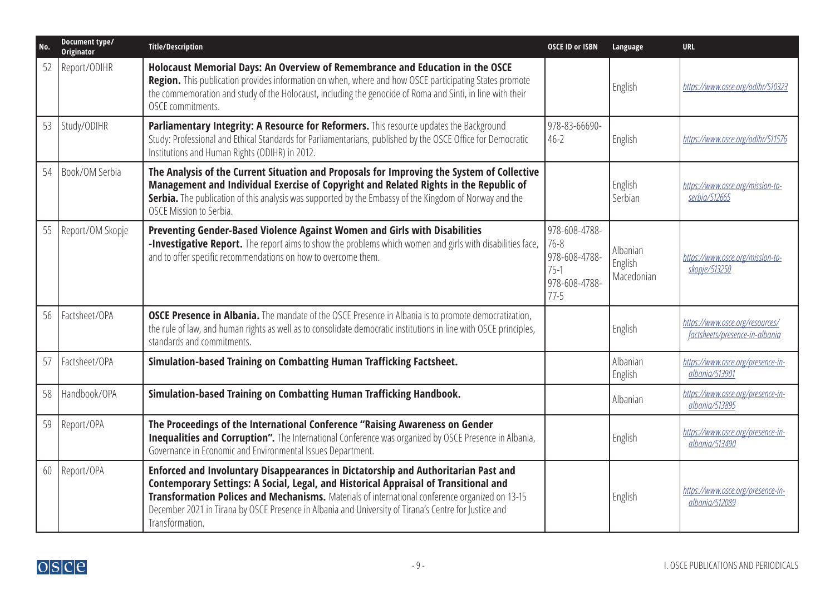| No. | Document type/<br>Originator | <b>Title/Description</b>                                                                                                                                                                                                                                                                                                                                                                                  | <b>OSCE ID or ISBN</b>                                                          | Language                          | <b>URL</b>                                                        |
|-----|------------------------------|-----------------------------------------------------------------------------------------------------------------------------------------------------------------------------------------------------------------------------------------------------------------------------------------------------------------------------------------------------------------------------------------------------------|---------------------------------------------------------------------------------|-----------------------------------|-------------------------------------------------------------------|
| 52  | Report/ODIHR                 | Holocaust Memorial Days: An Overview of Remembrance and Education in the OSCE<br>Region. This publication provides information on when, where and how OSCE participating States promote<br>the commemoration and study of the Holocaust, including the genocide of Roma and Sinti, in line with their<br>OSCE commitments.                                                                                |                                                                                 | English                           | https://www.osce.org/odihr/510323                                 |
| 53  | Study/ODIHR                  | Parliamentary Integrity: A Resource for Reformers. This resource updates the Background<br>Study: Professional and Ethical Standards for Parliamentarians, published by the OSCE Office for Democratic<br>Institutions and Human Rights (ODIHR) in 2012.                                                                                                                                                  | 978-83-66690-<br>$46 - 2$                                                       | English                           | https://www.osce.org/odihr/511576                                 |
| 54  | Book/OM Serbia               | The Analysis of the Current Situation and Proposals for Improving the System of Collective<br>Management and Individual Exercise of Copyright and Related Rights in the Republic of<br>Serbia. The publication of this analysis was supported by the Embassy of the Kingdom of Norway and the<br>OSCE Mission to Serbia.                                                                                  |                                                                                 | English<br>Serbian                | https://www.osce.org/mission-to-<br>serbia/512665                 |
| 55  | Report/OM Skopje             | Preventing Gender-Based Violence Against Women and Girls with Disabilities<br>-Investigative Report. The report aims to show the problems which women and girls with disabilities face,<br>and to offer specific recommendations on how to overcome them.                                                                                                                                                 | 978-608-4788-<br>$76 - 8$<br>978-608-4788-<br>$75-1$<br>978-608-4788-<br>$77-5$ | Albanian<br>English<br>Macedonian | https://www.osce.org/mission-to-<br>skopje/513250                 |
| 56  | Factsheet/OPA                | <b>OSCE Presence in Albania.</b> The mandate of the OSCE Presence in Albania is to promote democratization,<br>the rule of law, and human rights as well as to consolidate democratic institutions in line with OSCE principles,<br>standards and commitments.                                                                                                                                            |                                                                                 | English                           | https://www.osce.org/resources/<br>factsheets/presence-in-albania |
| 57  | Factsheet/OPA                | Simulation-based Training on Combatting Human Trafficking Factsheet.                                                                                                                                                                                                                                                                                                                                      |                                                                                 | Albanian<br>English               | https://www.osce.org/presence-in-<br>albania/513901               |
| 58  | Handbook/OPA                 | Simulation-based Training on Combatting Human Trafficking Handbook.                                                                                                                                                                                                                                                                                                                                       |                                                                                 | Albanian                          | https://www.osce.org/presence-in-<br>albania/513895               |
| 59  | Report/OPA                   | The Proceedings of the International Conference "Raising Awareness on Gender<br>Inequalities and Corruption". The International Conference was organized by OSCE Presence in Albania,<br>Governance in Economic and Environmental Issues Department.                                                                                                                                                      |                                                                                 | English                           | https://www.osce.org/presence-in-<br>albania/513490               |
| 60  | Report/OPA                   | Enforced and Involuntary Disappearances in Dictatorship and Authoritarian Past and<br>Contemporary Settings: A Social, Legal, and Historical Appraisal of Transitional and<br>Transformation Polices and Mechanisms. Materials of international conference organized on 13-15<br>December 2021 in Tirana by OSCE Presence in Albania and University of Tirana's Centre for Justice and<br>Transformation. |                                                                                 | English                           | https://www.osce.org/presence-in-<br>albania/512089               |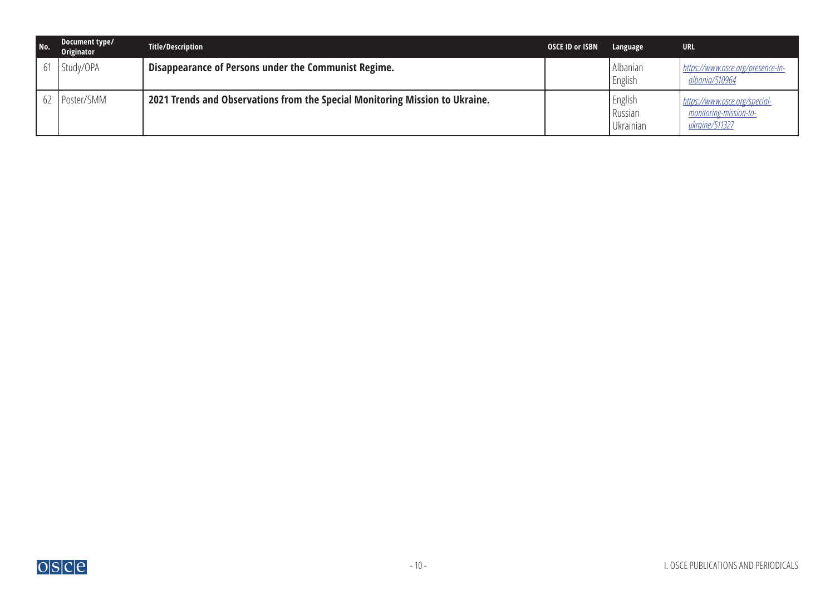| No. | Document type/<br>Originator | <b>Title/Description</b>                                                     | <b>OSCE ID or ISBN</b> | Language                        | <b>URL</b>                                                                |
|-----|------------------------------|------------------------------------------------------------------------------|------------------------|---------------------------------|---------------------------------------------------------------------------|
|     | 61 Study/OPA                 | Disappearance of Persons under the Communist Regime.                         |                        | Albanian<br>English             | https://www.osce.org/presence-in-<br><u>albania/510964</u>                |
|     | 62   Poster/SMM              | 2021 Trends and Observations from the Special Monitoring Mission to Ukraine. |                        | English<br>Russian<br>Ukrainian | https://www.osce.org/special-<br>monitoring-mission-to-<br>ukraine/511327 |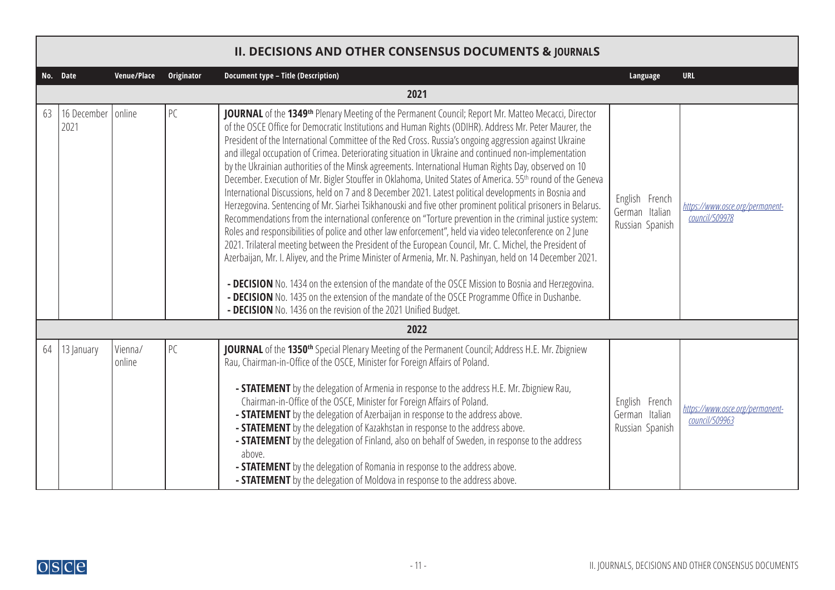<span id="page-10-0"></span>

|    |                     |                   |                   | <b>II. DECISIONS AND OTHER CONSENSUS DOCUMENTS &amp; JOURNALS</b>                                                                                                                                                                                                                                                                                                                                                                                                                                                                                                                                                                                                                                                                                                                                                                                                                                                                                                                                                                                                                                                                                                                                                                                                                                                                                                                                                                                                                                                                                                                                                                 |                                                     |                                                   |
|----|---------------------|-------------------|-------------------|-----------------------------------------------------------------------------------------------------------------------------------------------------------------------------------------------------------------------------------------------------------------------------------------------------------------------------------------------------------------------------------------------------------------------------------------------------------------------------------------------------------------------------------------------------------------------------------------------------------------------------------------------------------------------------------------------------------------------------------------------------------------------------------------------------------------------------------------------------------------------------------------------------------------------------------------------------------------------------------------------------------------------------------------------------------------------------------------------------------------------------------------------------------------------------------------------------------------------------------------------------------------------------------------------------------------------------------------------------------------------------------------------------------------------------------------------------------------------------------------------------------------------------------------------------------------------------------------------------------------------------------|-----------------------------------------------------|---------------------------------------------------|
|    | No. Date            | Venue/Place       | <b>Originator</b> | Document type - Title (Description)                                                                                                                                                                                                                                                                                                                                                                                                                                                                                                                                                                                                                                                                                                                                                                                                                                                                                                                                                                                                                                                                                                                                                                                                                                                                                                                                                                                                                                                                                                                                                                                               | Language                                            | <b>URL</b>                                        |
|    |                     |                   |                   | 2021                                                                                                                                                                                                                                                                                                                                                                                                                                                                                                                                                                                                                                                                                                                                                                                                                                                                                                                                                                                                                                                                                                                                                                                                                                                                                                                                                                                                                                                                                                                                                                                                                              |                                                     |                                                   |
| 63 | 16 December<br>2021 | online            | PC                | JOURNAL of the 1349 <sup>th</sup> Plenary Meeting of the Permanent Council; Report Mr. Matteo Mecacci, Director<br>of the OSCE Office for Democratic Institutions and Human Rights (ODIHR). Address Mr. Peter Maurer, the<br>President of the International Committee of the Red Cross. Russia's ongoing aggression against Ukraine<br>and illegal occupation of Crimea. Deteriorating situation in Ukraine and continued non-implementation<br>by the Ukrainian authorities of the Minsk agreements. International Human Rights Day, observed on 10<br>December. Execution of Mr. Bigler Stouffer in Oklahoma, United States of America. 55 <sup>th</sup> round of the Geneva<br>International Discussions, held on 7 and 8 December 2021. Latest political developments in Bosnia and<br>Herzegovina. Sentencing of Mr. Siarhei Tsikhanouski and five other prominent political prisoners in Belarus.<br>Recommendations from the international conference on "Torture prevention in the criminal justice system:<br>Roles and responsibilities of police and other law enforcement", held via video teleconference on 2 June<br>2021. Trilateral meeting between the President of the European Council, Mr. C. Michel, the President of<br>Azerbaijan, Mr. I. Aliyev, and the Prime Minister of Armenia, Mr. N. Pashinyan, held on 14 December 2021.<br>- DECISION No. 1434 on the extension of the mandate of the OSCE Mission to Bosnia and Herzegovina.<br>- DECISION No. 1435 on the extension of the mandate of the OSCE Programme Office in Dushanbe.<br>- DECISION No. 1436 on the revision of the 2021 Unified Budget. | English French<br>German Italian<br>Russian Spanish | https://www.osce.org/permanent-<br>council/509978 |
|    |                     |                   |                   | 2022                                                                                                                                                                                                                                                                                                                                                                                                                                                                                                                                                                                                                                                                                                                                                                                                                                                                                                                                                                                                                                                                                                                                                                                                                                                                                                                                                                                                                                                                                                                                                                                                                              |                                                     |                                                   |
| 64 | 13 January          | Vienna/<br>online | PC                | JOURNAL of the 1350 <sup>th</sup> Special Plenary Meeting of the Permanent Council; Address H.E. Mr. Zbigniew<br>Rau, Chairman-in-Office of the OSCE, Minister for Foreign Affairs of Poland.<br>- STATEMENT by the delegation of Armenia in response to the address H.E. Mr. Zbigniew Rau,<br>Chairman-in-Office of the OSCE, Minister for Foreign Affairs of Poland.<br>- <b>STATEMENT</b> by the delegation of Azerbaijan in response to the address above.<br>- STATEMENT by the delegation of Kazakhstan in response to the address above.<br>- STATEMENT by the delegation of Finland, also on behalf of Sweden, in response to the address<br>above.<br>- <b>STATEMENT</b> by the delegation of Romania in response to the address above.<br>- <b>STATEMENT</b> by the delegation of Moldova in response to the address above.                                                                                                                                                                                                                                                                                                                                                                                                                                                                                                                                                                                                                                                                                                                                                                                             | English French<br>German Italian<br>Russian Spanish | https://www.osce.org/permanent-<br>council/509963 |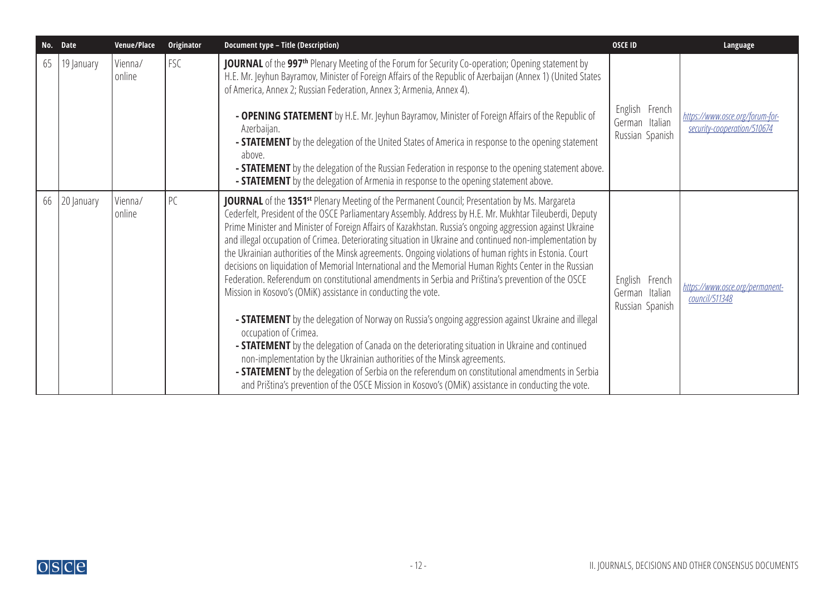| No. | <b>Date</b> | Venue/Place       | Originator | Document type - Title (Description)                                                                                                                                                                                                                                                                                                                                                                                                                                                                                                                                                                                                                                                                                                                                                                                                        | <b>OSCE ID</b>                                      | Language                                                       |
|-----|-------------|-------------------|------------|--------------------------------------------------------------------------------------------------------------------------------------------------------------------------------------------------------------------------------------------------------------------------------------------------------------------------------------------------------------------------------------------------------------------------------------------------------------------------------------------------------------------------------------------------------------------------------------------------------------------------------------------------------------------------------------------------------------------------------------------------------------------------------------------------------------------------------------------|-----------------------------------------------------|----------------------------------------------------------------|
| 65  | 19 January  | Vienna/<br>online | FSC        | <b>JOURNAL</b> of the 997 <sup>th</sup> Plenary Meeting of the Forum for Security Co-operation; Opening statement by<br>H.E. Mr. Jeyhun Bayramov, Minister of Foreign Affairs of the Republic of Azerbaijan (Annex 1) (United States<br>of America, Annex 2; Russian Federation, Annex 3; Armenia, Annex 4).                                                                                                                                                                                                                                                                                                                                                                                                                                                                                                                               |                                                     |                                                                |
|     |             |                   |            | - OPENING STATEMENT by H.E. Mr. Jeyhun Bayramov, Minister of Foreign Affairs of the Republic of<br>Azerbaijan.<br>- <b>STATEMENT</b> by the delegation of the United States of America in response to the opening statement<br>above.<br>- <b>STATEMENT</b> by the delegation of the Russian Federation in response to the opening statement above.                                                                                                                                                                                                                                                                                                                                                                                                                                                                                        | English French<br>German Italian<br>Russian Spanish | https://www.osce.org/forum-for-<br>security-cooperation/510674 |
|     |             |                   |            | - <b>STATEMENT</b> by the delegation of Armenia in response to the opening statement above.                                                                                                                                                                                                                                                                                                                                                                                                                                                                                                                                                                                                                                                                                                                                                |                                                     |                                                                |
| 66  | 20 January  | Vienna/<br>online | PC         | JOURNAL of the 1351 <sup>st</sup> Plenary Meeting of the Permanent Council; Presentation by Ms. Margareta<br>Cederfelt, President of the OSCE Parliamentary Assembly. Address by H.E. Mr. Mukhtar Tileuberdi, Deputy<br>Prime Minister and Minister of Foreign Affairs of Kazakhstan. Russia's ongoing aggression against Ukraine<br>and illegal occupation of Crimea. Deteriorating situation in Ukraine and continued non-implementation by<br>the Ukrainian authorities of the Minsk agreements. Ongoing violations of human rights in Estonia. Court<br>decisions on liquidation of Memorial International and the Memorial Human Rights Center in the Russian<br>Federation. Referendum on constitutional amendments in Serbia and Priština's prevention of the OSCE<br>Mission in Kosovo's (OMiK) assistance in conducting the vote. | English French<br>German Italian<br>Russian Spanish | https://www.osce.org/permanent-<br>council/511348              |
|     |             |                   |            | - <b>STATEMENT</b> by the delegation of Norway on Russia's ongoing aggression against Ukraine and illegal<br>occupation of Crimea.<br>- STATEMENT by the delegation of Canada on the deteriorating situation in Ukraine and continued<br>non-implementation by the Ukrainian authorities of the Minsk agreements.<br>- <b>STATEMENT</b> by the delegation of Serbia on the referendum on constitutional amendments in Serbia<br>and Priština's prevention of the OSCE Mission in Kosovo's (OMiK) assistance in conducting the vote.                                                                                                                                                                                                                                                                                                        |                                                     |                                                                |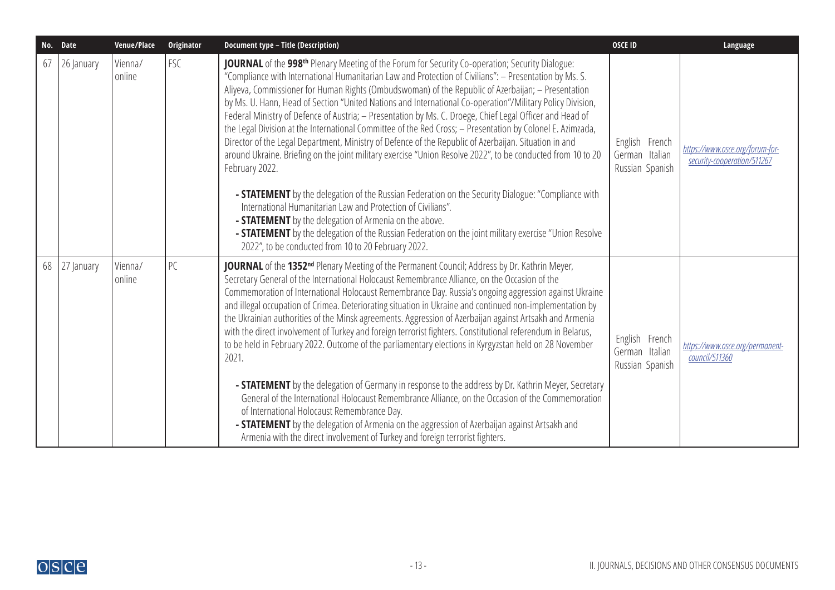| No. Date |            | Venue/Place       | Originator | <b>Document type - Title (Description)</b>                                                                                                                                                                                                                                                                                                                                                                                                                                                                                                                                                                                                                                                                                                                                                                                                                                                                                                                                                                                                                                                                                                                                                                                                                                                                                        | <b>OSCE ID</b>                                      | Language                                                       |
|----------|------------|-------------------|------------|-----------------------------------------------------------------------------------------------------------------------------------------------------------------------------------------------------------------------------------------------------------------------------------------------------------------------------------------------------------------------------------------------------------------------------------------------------------------------------------------------------------------------------------------------------------------------------------------------------------------------------------------------------------------------------------------------------------------------------------------------------------------------------------------------------------------------------------------------------------------------------------------------------------------------------------------------------------------------------------------------------------------------------------------------------------------------------------------------------------------------------------------------------------------------------------------------------------------------------------------------------------------------------------------------------------------------------------|-----------------------------------------------------|----------------------------------------------------------------|
| 67       | 26 January | Vienna/<br>online | FSC        | JOURNAL of the 998 <sup>th</sup> Plenary Meeting of the Forum for Security Co-operation; Security Dialogue:<br>"Compliance with International Humanitarian Law and Protection of Civilians": - Presentation by Ms. S.<br>Aliyeva, Commissioner for Human Rights (Ombudswoman) of the Republic of Azerbaijan; - Presentation<br>by Ms. U. Hann, Head of Section "United Nations and International Co-operation"/Military Policy Division,<br>Federal Ministry of Defence of Austria; - Presentation by Ms. C. Droege, Chief Legal Officer and Head of<br>the Legal Division at the International Committee of the Red Cross; - Presentation by Colonel E. Azimzada,<br>Director of the Legal Department, Ministry of Defence of the Republic of Azerbaijan. Situation in and<br>around Ukraine. Briefing on the joint military exercise "Union Resolve 2022", to be conducted from 10 to 20<br>February 2022.<br>- <b>STATEMENT</b> by the delegation of the Russian Federation on the Security Dialogue: "Compliance with<br>International Humanitarian Law and Protection of Civilians".<br>- <b>STATEMENT</b> by the delegation of Armenia on the above.<br>- <b>STATEMENT</b> by the delegation of the Russian Federation on the joint military exercise "Union Resolve<br>2022", to be conducted from 10 to 20 February 2022. | English French<br>German Italian<br>Russian Spanish | https://www.osce.org/forum-for-<br>security-cooperation/511267 |
| 68       | 27 January | Vienna/<br>online | PC         | JOURNAL of the 1352 <sup>nd</sup> Plenary Meeting of the Permanent Council; Address by Dr. Kathrin Meyer,<br>Secretary General of the International Holocaust Remembrance Alliance, on the Occasion of the<br>Commemoration of International Holocaust Remembrance Day. Russia's ongoing aggression against Ukraine<br>and illegal occupation of Crimea. Deteriorating situation in Ukraine and continued non-implementation by<br>the Ukrainian authorities of the Minsk agreements. Aggression of Azerbaijan against Artsakh and Armenia<br>with the direct involvement of Turkey and foreign terrorist fighters. Constitutional referendum in Belarus,<br>to be held in February 2022. Outcome of the parliamentary elections in Kyrgyzstan held on 28 November<br>2021.<br>- STATEMENT by the delegation of Germany in response to the address by Dr. Kathrin Meyer, Secretary<br>General of the International Holocaust Remembrance Alliance, on the Occasion of the Commemoration<br>of International Holocaust Remembrance Day.<br>- STATEMENT by the delegation of Armenia on the aggression of Azerbaijan against Artsakh and<br>Armenia with the direct involvement of Turkey and foreign terrorist fighters.                                                                                                           | English French<br>German Italian<br>Russian Spanish | https://www.osce.org/permanent-<br>council/511360              |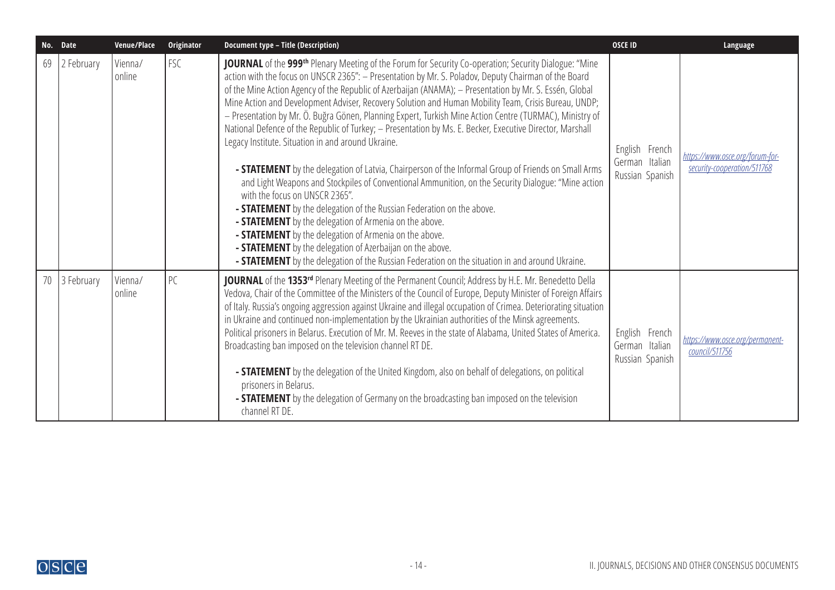|    | No. Date      | Venue/Place       | Originator | <b>Document type - Title (Description)</b>                                                                                                                                                                                                                                                                                                                                                                                                                                                                                                                                                                                                                                                                                                                                                                                                                                                                                                                                                                                                                                                                                                                                                                                                                                                                                                                            | <b>OSCE ID</b>                                      | Language                                                       |
|----|---------------|-------------------|------------|-----------------------------------------------------------------------------------------------------------------------------------------------------------------------------------------------------------------------------------------------------------------------------------------------------------------------------------------------------------------------------------------------------------------------------------------------------------------------------------------------------------------------------------------------------------------------------------------------------------------------------------------------------------------------------------------------------------------------------------------------------------------------------------------------------------------------------------------------------------------------------------------------------------------------------------------------------------------------------------------------------------------------------------------------------------------------------------------------------------------------------------------------------------------------------------------------------------------------------------------------------------------------------------------------------------------------------------------------------------------------|-----------------------------------------------------|----------------------------------------------------------------|
| 69 | 2 February    | Vienna/<br>online | <b>FSC</b> | JOURNAL of the 999th Plenary Meeting of the Forum for Security Co-operation; Security Dialogue: "Mine<br>action with the focus on UNSCR 2365": - Presentation by Mr. S. Poladov, Deputy Chairman of the Board<br>of the Mine Action Agency of the Republic of Azerbaijan (ANAMA); - Presentation by Mr. S. Essén, Global<br>Mine Action and Development Adviser, Recovery Solution and Human Mobility Team, Crisis Bureau, UNDP;<br>- Presentation by Mr. Ö. Buğra Gönen, Planning Expert, Turkish Mine Action Centre (TURMAC), Ministry of<br>National Defence of the Republic of Turkey; - Presentation by Ms. E. Becker, Executive Director, Marshall<br>Legacy Institute. Situation in and around Ukraine.<br>- <b>STATEMENT</b> by the delegation of Latvia, Chairperson of the Informal Group of Friends on Small Arms<br>and Light Weapons and Stockpiles of Conventional Ammunition, on the Security Dialogue: "Mine action<br>with the focus on UNSCR 2365".<br>- <b>STATEMENT</b> by the delegation of the Russian Federation on the above.<br>- <b>STATEMENT</b> by the delegation of Armenia on the above.<br>- <b>STATEMENT</b> by the delegation of Armenia on the above.<br>- <b>STATEMENT</b> by the delegation of Azerbaijan on the above.<br>- <b>STATEMENT</b> by the delegation of the Russian Federation on the situation in and around Ukraine. | English French<br>German Italian<br>Russian Spanish | https://www.osce.org/forum-for-<br>security-cooperation/511768 |
|    | 70 3 February | Vienna/<br>online | PC         | JOURNAL of the 1353rd Plenary Meeting of the Permanent Council; Address by H.E. Mr. Benedetto Della<br>Vedova, Chair of the Committee of the Ministers of the Council of Europe, Deputy Minister of Foreign Affairs<br>of Italy. Russia's ongoing aggression against Ukraine and illegal occupation of Crimea. Deteriorating situation<br>in Ukraine and continued non-implementation by the Ukrainian authorities of the Minsk agreements.<br>Political prisoners in Belarus. Execution of Mr. M. Reeves in the state of Alabama, United States of America.<br>Broadcasting ban imposed on the television channel RT DE.<br>- <b>STATEMENT</b> by the delegation of the United Kingdom, also on behalf of delegations, on political<br>prisoners in Belarus.<br>- <b>STATEMENT</b> by the delegation of Germany on the broadcasting ban imposed on the television<br>channel RT DE.                                                                                                                                                                                                                                                                                                                                                                                                                                                                                  | English French<br>German Italian<br>Russian Spanish | https://www.osce.org/permanent-<br>council/511756              |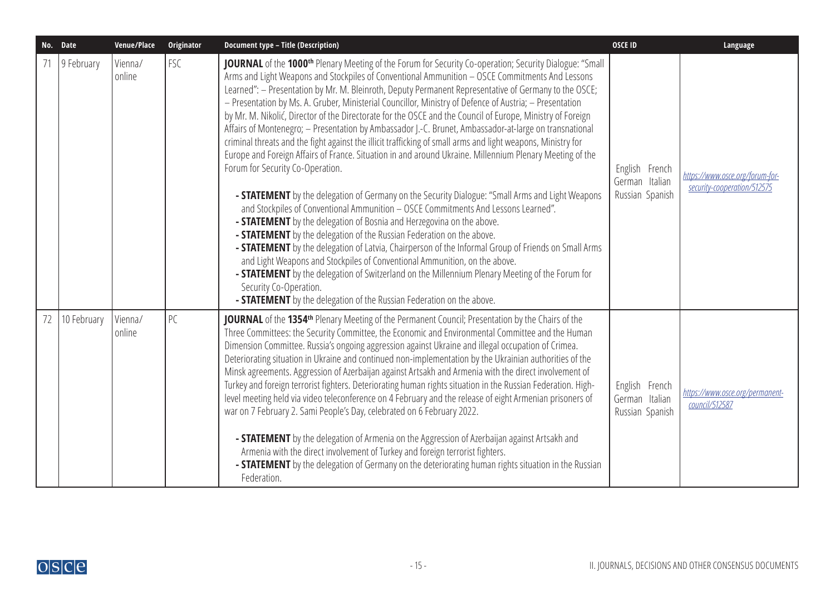| No. Date |             | Venue/Place       | Originator | <b>Document type - Title (Description)</b>                                                                                                                                                                                                                                                                                                                                                                                                                                                                                                                                                                                                                                                                                                                                                                                                                                                                                                                                                                                                                                                                                                                                                                                                                                                                                                                                                                                                                                                                                                                                                                                                                                                                   | <b>OSCE ID</b>                                      | Language                                                       |
|----------|-------------|-------------------|------------|--------------------------------------------------------------------------------------------------------------------------------------------------------------------------------------------------------------------------------------------------------------------------------------------------------------------------------------------------------------------------------------------------------------------------------------------------------------------------------------------------------------------------------------------------------------------------------------------------------------------------------------------------------------------------------------------------------------------------------------------------------------------------------------------------------------------------------------------------------------------------------------------------------------------------------------------------------------------------------------------------------------------------------------------------------------------------------------------------------------------------------------------------------------------------------------------------------------------------------------------------------------------------------------------------------------------------------------------------------------------------------------------------------------------------------------------------------------------------------------------------------------------------------------------------------------------------------------------------------------------------------------------------------------------------------------------------------------|-----------------------------------------------------|----------------------------------------------------------------|
|          | 9 February  | Vienna/<br>online | <b>FSC</b> | JOURNAL of the 1000 <sup>th</sup> Plenary Meeting of the Forum for Security Co-operation; Security Dialogue: "Small<br>Arms and Light Weapons and Stockpiles of Conventional Ammunition - OSCE Commitments And Lessons<br>Learned": - Presentation by Mr. M. Bleinroth, Deputy Permanent Representative of Germany to the OSCE;<br>- Presentation by Ms. A. Gruber, Ministerial Councillor, Ministry of Defence of Austria; - Presentation<br>by Mr. M. Nikolić, Director of the Directorate for the OSCE and the Council of Europe, Ministry of Foreign<br>Affairs of Montenegro; - Presentation by Ambassador J.-C. Brunet, Ambassador-at-large on transnational<br>criminal threats and the fight against the illicit trafficking of small arms and light weapons, Ministry for<br>Europe and Foreign Affairs of France. Situation in and around Ukraine. Millennium Plenary Meeting of the<br>Forum for Security Co-Operation.<br>- <b>STATEMENT</b> by the delegation of Germany on the Security Dialogue: "Small Arms and Light Weapons<br>and Stockpiles of Conventional Ammunition - OSCE Commitments And Lessons Learned".<br>- <b>STATEMENT</b> by the delegation of Bosnia and Herzegovina on the above.<br>- <b>STATEMENT</b> by the delegation of the Russian Federation on the above.<br>- <b>STATEMENT</b> by the delegation of Latvia, Chairperson of the Informal Group of Friends on Small Arms<br>and Light Weapons and Stockpiles of Conventional Ammunition, on the above.<br>- STATEMENT by the delegation of Switzerland on the Millennium Plenary Meeting of the Forum for<br>Security Co-Operation.<br>- <b>STATEMENT</b> by the delegation of the Russian Federation on the above. | English French<br>German Italian<br>Russian Spanish | https://www.osce.org/forum-for-<br>security-cooperation/512575 |
| 72       | 10 February | Vienna/<br>online | PC         | JOURNAL of the 1354 <sup>th</sup> Plenary Meeting of the Permanent Council; Presentation by the Chairs of the<br>Three Committees: the Security Committee, the Economic and Environmental Committee and the Human<br>Dimension Committee. Russia's ongoing aggression against Ukraine and illegal occupation of Crimea.<br>Deteriorating situation in Ukraine and continued non-implementation by the Ukrainian authorities of the<br>Minsk agreements. Aggression of Azerbaijan against Artsakh and Armenia with the direct involvement of<br>Turkey and foreign terrorist fighters. Deteriorating human rights situation in the Russian Federation. High-<br>level meeting held via video teleconference on 4 February and the release of eight Armenian prisoners of<br>war on 7 February 2. Sami People's Day, celebrated on 6 February 2022.<br>- <b>STATEMENT</b> by the delegation of Armenia on the Aggression of Azerbaijan against Artsakh and<br>Armenia with the direct involvement of Turkey and foreign terrorist fighters.<br>- <b>STATEMENT</b> by the delegation of Germany on the deteriorating human rights situation in the Russian<br>Federation.                                                                                                                                                                                                                                                                                                                                                                                                                                                                                                                                       | English French<br>German Italian<br>Russian Spanish | https://www.osce.org/permanent-<br>council/512587              |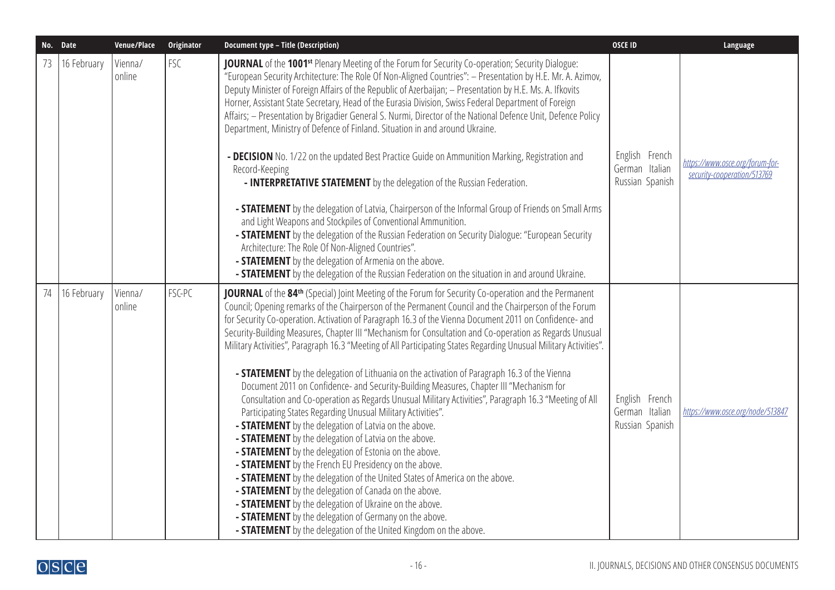|    | No. Date    | Venue/Place       | Originator | <b>Document type - Title (Description)</b>                                                                                                                                                                                                                                                                                                                                                                                                                                                                                                                                                                                                                                                                                                                                                                                                                                                                                                                                                                                                                                                                                                                                                                                                                                                                                                                                                                                                                                                                                                              | <b>OSCE ID</b>                                      | Language                                                       |
|----|-------------|-------------------|------------|---------------------------------------------------------------------------------------------------------------------------------------------------------------------------------------------------------------------------------------------------------------------------------------------------------------------------------------------------------------------------------------------------------------------------------------------------------------------------------------------------------------------------------------------------------------------------------------------------------------------------------------------------------------------------------------------------------------------------------------------------------------------------------------------------------------------------------------------------------------------------------------------------------------------------------------------------------------------------------------------------------------------------------------------------------------------------------------------------------------------------------------------------------------------------------------------------------------------------------------------------------------------------------------------------------------------------------------------------------------------------------------------------------------------------------------------------------------------------------------------------------------------------------------------------------|-----------------------------------------------------|----------------------------------------------------------------|
| 73 | 16 February | Vienna/<br>online | FSC        | JOURNAL of the 1001 <sup>st</sup> Plenary Meeting of the Forum for Security Co-operation; Security Dialogue:<br>"European Security Architecture: The Role Of Non-Aligned Countries": - Presentation by H.E. Mr. A. Azimov,<br>Deputy Minister of Foreign Affairs of the Republic of Azerbaijan; - Presentation by H.E. Ms. A. Ifkovits<br>Horner, Assistant State Secretary, Head of the Eurasia Division, Swiss Federal Department of Foreign<br>Affairs; - Presentation by Brigadier General S. Nurmi, Director of the National Defence Unit, Defence Policy<br>Department, Ministry of Defence of Finland. Situation in and around Ukraine.<br>- DECISION No. 1/22 on the updated Best Practice Guide on Ammunition Marking, Registration and<br>Record-Keeping<br>- INTERPRETATIVE STATEMENT by the delegation of the Russian Federation.<br>- <b>STATEMENT</b> by the delegation of Latvia, Chairperson of the Informal Group of Friends on Small Arms<br>and Light Weapons and Stockpiles of Conventional Ammunition.<br>- <b>STATEMENT</b> by the delegation of the Russian Federation on Security Dialogue: "European Security<br>Architecture: The Role Of Non-Aligned Countries".<br>- STATEMENT by the delegation of Armenia on the above.<br>- <b>STATEMENT</b> by the delegation of the Russian Federation on the situation in and around Ukraine.                                                                                                                                                                                         | English French<br>German Italian<br>Russian Spanish | https://www.osce.org/forum-for-<br>security-cooperation/513769 |
| 74 | 16 February | Vienna/<br>online | FSC-PC     | <b>JOURNAL</b> of the 84 <sup>th</sup> (Special) Joint Meeting of the Forum for Security Co-operation and the Permanent<br>Council; Opening remarks of the Chairperson of the Permanent Council and the Chairperson of the Forum<br>for Security Co-operation. Activation of Paragraph 16.3 of the Vienna Document 2011 on Confidence- and<br>Security-Building Measures, Chapter III "Mechanism for Consultation and Co-operation as Regards Unusual<br>Military Activities", Paragraph 16.3 "Meeting of All Participating States Regarding Unusual Military Activities".<br>- <b>STATEMENT</b> by the delegation of Lithuania on the activation of Paragraph 16.3 of the Vienna<br>Document 2011 on Confidence- and Security-Building Measures, Chapter III "Mechanism for<br>Consultation and Co-operation as Regards Unusual Military Activities", Paragraph 16.3 "Meeting of All<br>Participating States Regarding Unusual Military Activities".<br>- STATEMENT by the delegation of Latvia on the above.<br>- STATEMENT by the delegation of Latvia on the above.<br>- STATEMENT by the delegation of Estonia on the above.<br>- STATEMENT by the French EU Presidency on the above.<br>- <b>STATEMENT</b> by the delegation of the United States of America on the above.<br>- <b>STATEMENT</b> by the delegation of Canada on the above.<br>- <b>STATEMENT</b> by the delegation of Ukraine on the above.<br>- STATEMENT by the delegation of Germany on the above.<br>- <b>STATEMENT</b> by the delegation of the United Kingdom on the above. | English French<br>German Italian<br>Russian Spanish | https://www.osce.org/node/513847                               |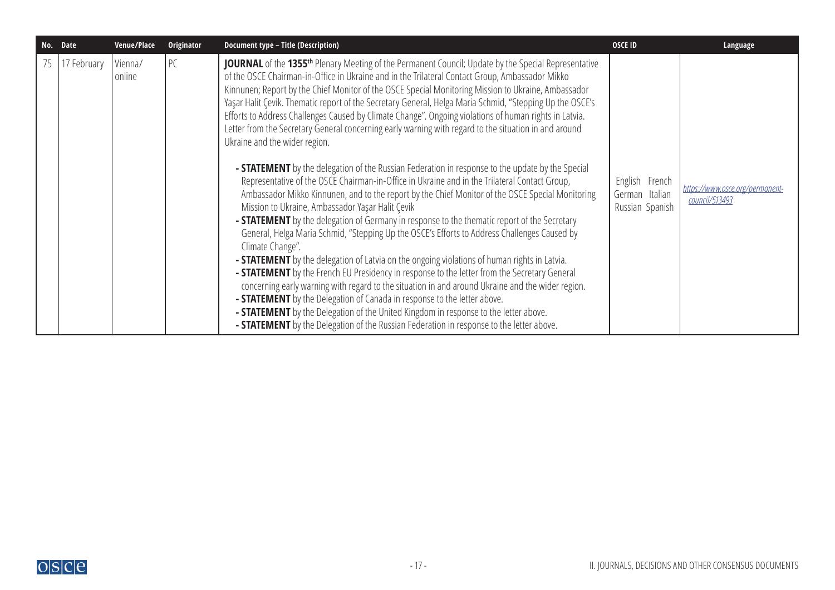| No. Date    | Venue/Place       | Originator | <b>Document type - Title (Description)</b>                                                                                                                                                                                                                                                                                                                                                                                                                                                                                                                                                                                                                                                                                                                                                                                                                                                                                                                                                                                                                                                                                                                                                                                                                                                                                                                                                                                                                                                                                                                                                                                                                                                                                                                                                                                                                                          | <b>OSCE ID</b>                                      | Language                                          |
|-------------|-------------------|------------|-------------------------------------------------------------------------------------------------------------------------------------------------------------------------------------------------------------------------------------------------------------------------------------------------------------------------------------------------------------------------------------------------------------------------------------------------------------------------------------------------------------------------------------------------------------------------------------------------------------------------------------------------------------------------------------------------------------------------------------------------------------------------------------------------------------------------------------------------------------------------------------------------------------------------------------------------------------------------------------------------------------------------------------------------------------------------------------------------------------------------------------------------------------------------------------------------------------------------------------------------------------------------------------------------------------------------------------------------------------------------------------------------------------------------------------------------------------------------------------------------------------------------------------------------------------------------------------------------------------------------------------------------------------------------------------------------------------------------------------------------------------------------------------------------------------------------------------------------------------------------------------|-----------------------------------------------------|---------------------------------------------------|
| 17 February | Vienna/<br>online | PC         | JOURNAL of the 1355 <sup>th</sup> Plenary Meeting of the Permanent Council; Update by the Special Representative<br>of the OSCE Chairman-in-Office in Ukraine and in the Trilateral Contact Group, Ambassador Mikko<br>Kinnunen; Report by the Chief Monitor of the OSCE Special Monitoring Mission to Ukraine, Ambassador<br>Yaşar Halit Çevik. Thematic report of the Secretary General, Helga Maria Schmid, "Stepping Up the OSCE's<br>Efforts to Address Challenges Caused by Climate Change". Ongoing violations of human rights in Latvia.<br>Letter from the Secretary General concerning early warning with regard to the situation in and around<br>Ukraine and the wider region.<br>- <b>STATEMENT</b> by the delegation of the Russian Federation in response to the update by the Special<br>Representative of the OSCE Chairman-in-Office in Ukraine and in the Trilateral Contact Group,<br>Ambassador Mikko Kinnunen, and to the report by the Chief Monitor of the OSCE Special Monitoring<br>Mission to Ukraine, Ambassador Yaşar Halit Çevik<br>- STATEMENT by the delegation of Germany in response to the thematic report of the Secretary<br>General, Helga Maria Schmid, "Stepping Up the OSCE's Efforts to Address Challenges Caused by<br>Climate Change".<br>- <b>STATEMENT</b> by the delegation of Latvia on the ongoing violations of human rights in Latvia.<br>- STATEMENT by the French EU Presidency in response to the letter from the Secretary General<br>concerning early warning with regard to the situation in and around Ukraine and the wider region.<br>- <b>STATEMENT</b> by the Delegation of Canada in response to the letter above.<br>- <b>STATEMENT</b> by the Delegation of the United Kingdom in response to the letter above.<br><b>- STATEMENT</b> by the Delegation of the Russian Federation in response to the letter above. | English French<br>German Italian<br>Russian Spanish | https://www.osce.org/permanent-<br>council/513493 |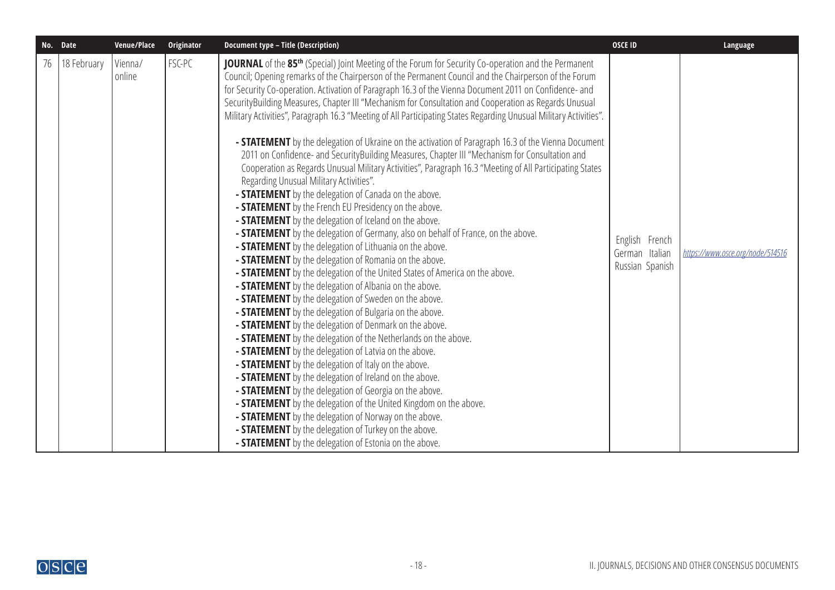|    | No. Date    | Venue/Place       | Originator | <b>Document type - Title (Description)</b>                                                                                                                                                                                                                                                                                                                                                                                                                                                                                                                                                                                                                                                                                                                                                                                                                                                                                                                                                                                                                                                                                                                                                                                                                                                                                                                                                                                                                                                                                                                                                                                                                                                                                                                                                                                                                                                                                                                                                                                                                                                                                                                                                                                                                                                                                                          | <b>OSCE ID</b>                                      | Language                         |
|----|-------------|-------------------|------------|-----------------------------------------------------------------------------------------------------------------------------------------------------------------------------------------------------------------------------------------------------------------------------------------------------------------------------------------------------------------------------------------------------------------------------------------------------------------------------------------------------------------------------------------------------------------------------------------------------------------------------------------------------------------------------------------------------------------------------------------------------------------------------------------------------------------------------------------------------------------------------------------------------------------------------------------------------------------------------------------------------------------------------------------------------------------------------------------------------------------------------------------------------------------------------------------------------------------------------------------------------------------------------------------------------------------------------------------------------------------------------------------------------------------------------------------------------------------------------------------------------------------------------------------------------------------------------------------------------------------------------------------------------------------------------------------------------------------------------------------------------------------------------------------------------------------------------------------------------------------------------------------------------------------------------------------------------------------------------------------------------------------------------------------------------------------------------------------------------------------------------------------------------------------------------------------------------------------------------------------------------------------------------------------------------------------------------------------------------|-----------------------------------------------------|----------------------------------|
| 76 | 18 February | Vienna/<br>online | FSC-PC     | JOURNAL of the 85 <sup>th</sup> (Special) Joint Meeting of the Forum for Security Co-operation and the Permanent<br>Council; Opening remarks of the Chairperson of the Permanent Council and the Chairperson of the Forum<br>for Security Co-operation. Activation of Paragraph 16.3 of the Vienna Document 2011 on Confidence- and<br>SecurityBuilding Measures, Chapter III "Mechanism for Consultation and Cooperation as Regards Unusual<br>Military Activities", Paragraph 16.3 "Meeting of All Participating States Regarding Unusual Military Activities".<br>- <b>STATEMENT</b> by the delegation of Ukraine on the activation of Paragraph 16.3 of the Vienna Document<br>2011 on Confidence- and SecurityBuilding Measures, Chapter III "Mechanism for Consultation and<br>Cooperation as Regards Unusual Military Activities", Paragraph 16.3 "Meeting of All Participating States<br>Regarding Unusual Military Activities".<br>- <b>STATEMENT</b> by the delegation of Canada on the above.<br>- <b>STATEMENT</b> by the French EU Presidency on the above.<br>- <b>STATEMENT</b> by the delegation of Iceland on the above.<br>- <b>STATEMENT</b> by the delegation of Germany, also on behalf of France, on the above.<br>- <b>STATEMENT</b> by the delegation of Lithuania on the above.<br>- <b>STATEMENT</b> by the delegation of Romania on the above.<br>- <b>STATEMENT</b> by the delegation of the United States of America on the above.<br>- <b>STATEMENT</b> by the delegation of Albania on the above.<br>- <b>STATEMENT</b> by the delegation of Sweden on the above.<br>- <b>STATEMENT</b> by the delegation of Bulgaria on the above.<br>- <b>STATEMENT</b> by the delegation of Denmark on the above.<br>- <b>STATEMENT</b> by the delegation of the Netherlands on the above.<br>- <b>STATEMENT</b> by the delegation of Latvia on the above.<br>- <b>STATEMENT</b> by the delegation of Italy on the above.<br>- <b>STATEMENT</b> by the delegation of Ireland on the above.<br>- STATEMENT by the delegation of Georgia on the above.<br>- <b>STATEMENT</b> by the delegation of the United Kingdom on the above.<br>- <b>STATEMENT</b> by the delegation of Norway on the above.<br>- <b>STATEMENT</b> by the delegation of Turkey on the above.<br>- <b>STATEMENT</b> by the delegation of Estonia on the above. | English French<br>German Italian<br>Russian Spanish | https://www.osce.org/node/514516 |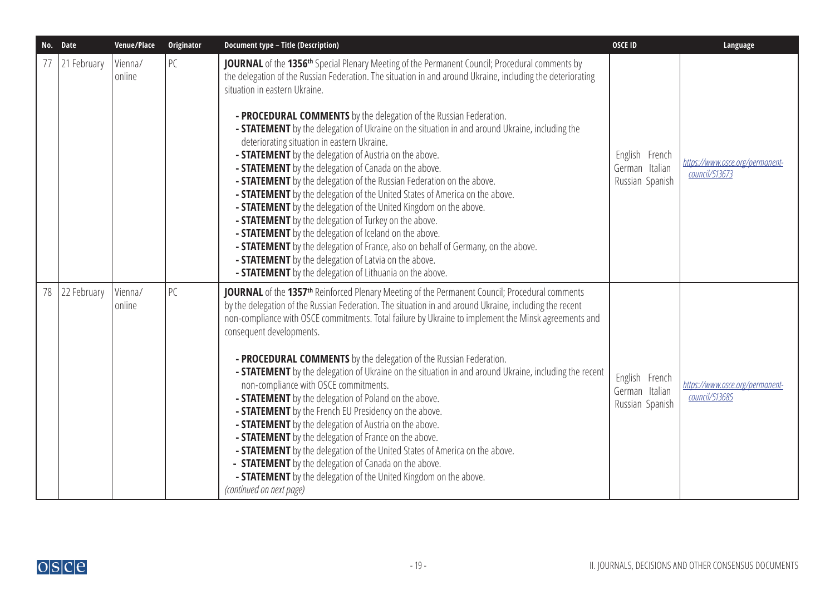|    | No. Date    | Venue/Place       | Originator | <b>Document type - Title (Description)</b>                                                                                                                                                                                                                                                                                                                                                                                                                                                                                                                                                                                                                                                                                                                                                                                                                                                                                                                                                                                                                                                                                                                                                                            | <b>OSCE ID</b>                                      | Language                                          |
|----|-------------|-------------------|------------|-----------------------------------------------------------------------------------------------------------------------------------------------------------------------------------------------------------------------------------------------------------------------------------------------------------------------------------------------------------------------------------------------------------------------------------------------------------------------------------------------------------------------------------------------------------------------------------------------------------------------------------------------------------------------------------------------------------------------------------------------------------------------------------------------------------------------------------------------------------------------------------------------------------------------------------------------------------------------------------------------------------------------------------------------------------------------------------------------------------------------------------------------------------------------------------------------------------------------|-----------------------------------------------------|---------------------------------------------------|
|    | 21 February | Vienna/<br>online | PC         | JOURNAL of the 1356 <sup>th</sup> Special Plenary Meeting of the Permanent Council; Procedural comments by<br>the delegation of the Russian Federation. The situation in and around Ukraine, including the deteriorating<br>situation in eastern Ukraine.<br>- PROCEDURAL COMMENTS by the delegation of the Russian Federation.<br>- <b>STATEMENT</b> by the delegation of Ukraine on the situation in and around Ukraine, including the<br>deteriorating situation in eastern Ukraine.<br>- <b>STATEMENT</b> by the delegation of Austria on the above.<br>- <b>STATEMENT</b> by the delegation of Canada on the above.<br>- <b>STATEMENT</b> by the delegation of the Russian Federation on the above.<br>- <b>STATEMENT</b> by the delegation of the United States of America on the above.<br>- <b>STATEMENT</b> by the delegation of the United Kingdom on the above.<br>- STATEMENT by the delegation of Turkey on the above.<br>- STATEMENT by the delegation of Iceland on the above.<br>- <b>STATEMENT</b> by the delegation of France, also on behalf of Germany, on the above.<br>- <b>STATEMENT</b> by the delegation of Latvia on the above.<br>- STATEMENT by the delegation of Lithuania on the above. | English French<br>German Italian<br>Russian Spanish | https://www.osce.org/permanent-<br>council/513673 |
| 78 | 22 February | Vienna/<br>online | PC         | JOURNAL of the 1357 <sup>th</sup> Reinforced Plenary Meeting of the Permanent Council; Procedural comments<br>by the delegation of the Russian Federation. The situation in and around Ukraine, including the recent<br>non-compliance with OSCE commitments. Total failure by Ukraine to implement the Minsk agreements and<br>consequent developments.<br>- PROCEDURAL COMMENTS by the delegation of the Russian Federation.<br>- <b>STATEMENT</b> by the delegation of Ukraine on the situation in and around Ukraine, including the recent<br>non-compliance with OSCE commitments.<br>- <b>STATEMENT</b> by the delegation of Poland on the above.<br>- <b>STATEMENT</b> by the French EU Presidency on the above.<br>- <b>STATEMENT</b> by the delegation of Austria on the above.<br>- STATEMENT by the delegation of France on the above.<br>- STATEMENT by the delegation of the United States of America on the above.<br>- STATEMENT by the delegation of Canada on the above.<br>- <b>STATEMENT</b> by the delegation of the United Kingdom on the above.<br>(continued on next page)                                                                                                                     | English French<br>German Italian<br>Russian Spanish | https://www.osce.org/permanent-<br>council/513685 |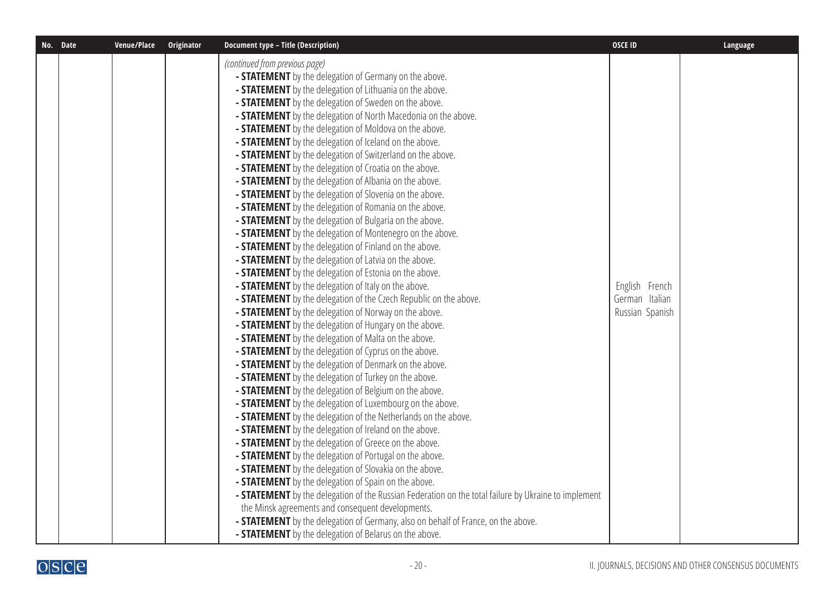| No. Date | Venue/Place | Originator | <b>Document type - Title (Description)</b>                                                                             | <b>OSCE ID</b>  | Language |
|----------|-------------|------------|------------------------------------------------------------------------------------------------------------------------|-----------------|----------|
|          |             |            | (continued from previous page)                                                                                         |                 |          |
|          |             |            | - STATEMENT by the delegation of Germany on the above.                                                                 |                 |          |
|          |             |            | - STATEMENT by the delegation of Lithuania on the above.<br>- STATEMENT by the delegation of Sweden on the above.      |                 |          |
|          |             |            | - <b>STATEMENT</b> by the delegation of North Macedonia on the above.                                                  |                 |          |
|          |             |            | - STATEMENT by the delegation of Moldova on the above.                                                                 |                 |          |
|          |             |            | - STATEMENT by the delegation of Iceland on the above.                                                                 |                 |          |
|          |             |            | - STATEMENT by the delegation of Switzerland on the above.                                                             |                 |          |
|          |             |            | - STATEMENT by the delegation of Croatia on the above.                                                                 |                 |          |
|          |             |            | - <b>STATEMENT</b> by the delegation of Albania on the above.                                                          |                 |          |
|          |             |            | - STATEMENT by the delegation of Slovenia on the above.                                                                |                 |          |
|          |             |            | - STATEMENT by the delegation of Romania on the above.                                                                 |                 |          |
|          |             |            | - STATEMENT by the delegation of Bulgaria on the above.                                                                |                 |          |
|          |             |            | - STATEMENT by the delegation of Montenegro on the above.                                                              |                 |          |
|          |             |            | - STATEMENT by the delegation of Finland on the above.                                                                 |                 |          |
|          |             |            | - STATEMENT by the delegation of Latvia on the above.                                                                  |                 |          |
|          |             |            | - STATEMENT by the delegation of Estonia on the above.                                                                 |                 |          |
|          |             |            | - STATEMENT by the delegation of Italy on the above.                                                                   | English French  |          |
|          |             |            | - <b>STATEMENT</b> by the delegation of the Czech Republic on the above.                                               | German Italian  |          |
|          |             |            | - STATEMENT by the delegation of Norway on the above.                                                                  | Russian Spanish |          |
|          |             |            | - STATEMENT by the delegation of Hungary on the above.                                                                 |                 |          |
|          |             |            | - STATEMENT by the delegation of Malta on the above.                                                                   |                 |          |
|          |             |            | - <b>STATEMENT</b> by the delegation of Cyprus on the above.                                                           |                 |          |
|          |             |            | - STATEMENT by the delegation of Denmark on the above.                                                                 |                 |          |
|          |             |            | - <b>STATEMENT</b> by the delegation of Turkey on the above.                                                           |                 |          |
|          |             |            | - <b>STATEMENT</b> by the delegation of Belgium on the above.                                                          |                 |          |
|          |             |            | - <b>STATEMENT</b> by the delegation of Luxembourg on the above.                                                       |                 |          |
|          |             |            | - <b>STATEMENT</b> by the delegation of the Netherlands on the above.                                                  |                 |          |
|          |             |            | - STATEMENT by the delegation of Ireland on the above.                                                                 |                 |          |
|          |             |            | - STATEMENT by the delegation of Greece on the above.                                                                  |                 |          |
|          |             |            | - <b>STATEMENT</b> by the delegation of Portugal on the above.                                                         |                 |          |
|          |             |            | - <b>STATEMENT</b> by the delegation of Slovakia on the above.<br>- STATEMENT by the delegation of Spain on the above. |                 |          |
|          |             |            | - <b>STATEMENT</b> by the delegation of the Russian Federation on the total failure by Ukraine to implement            |                 |          |
|          |             |            | the Minsk agreements and consequent developments.                                                                      |                 |          |
|          |             |            | - <b>STATEMENT</b> by the delegation of Germany, also on behalf of France, on the above.                               |                 |          |
|          |             |            | - <b>STATEMENT</b> by the delegation of Belarus on the above.                                                          |                 |          |
|          |             |            |                                                                                                                        |                 |          |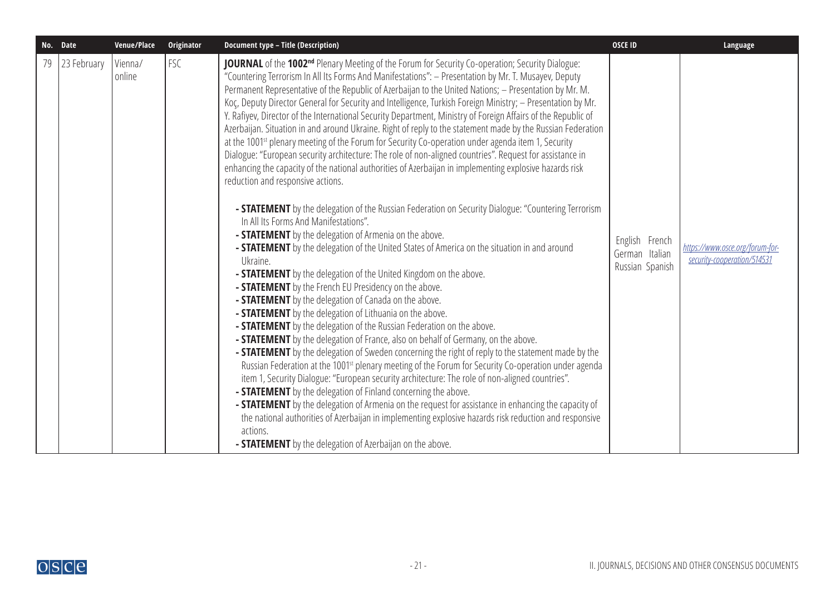|    | No. Date    | Venue/Place       | <b>Originator</b> | <b>Document type - Title (Description)</b>                                                                                                                                                                                                                                                                                                                                                                                                                                                                                                                                                                                                                                                                                                                                                                                                                                                                                                                                                                                                                                                                                                                                                                                                                                                                                                                                                                                                                                                                                                                                                                                                                                                                                                                                                                                                                                                                                                                                                                                                                                                                                                                                                                                                                                                                                                                                                                                                                                                                                                                               | <b>OSCE ID</b>                                      | Language                                                       |
|----|-------------|-------------------|-------------------|--------------------------------------------------------------------------------------------------------------------------------------------------------------------------------------------------------------------------------------------------------------------------------------------------------------------------------------------------------------------------------------------------------------------------------------------------------------------------------------------------------------------------------------------------------------------------------------------------------------------------------------------------------------------------------------------------------------------------------------------------------------------------------------------------------------------------------------------------------------------------------------------------------------------------------------------------------------------------------------------------------------------------------------------------------------------------------------------------------------------------------------------------------------------------------------------------------------------------------------------------------------------------------------------------------------------------------------------------------------------------------------------------------------------------------------------------------------------------------------------------------------------------------------------------------------------------------------------------------------------------------------------------------------------------------------------------------------------------------------------------------------------------------------------------------------------------------------------------------------------------------------------------------------------------------------------------------------------------------------------------------------------------------------------------------------------------------------------------------------------------------------------------------------------------------------------------------------------------------------------------------------------------------------------------------------------------------------------------------------------------------------------------------------------------------------------------------------------------------------------------------------------------------------------------------------------------|-----------------------------------------------------|----------------------------------------------------------------|
| 79 | 23 February | Vienna/<br>online | FSC               | JOURNAL of the 1002 <sup>nd</sup> Plenary Meeting of the Forum for Security Co-operation; Security Dialogue:<br>"Countering Terrorism In All Its Forms And Manifestations": - Presentation by Mr. T. Musayev, Deputy<br>Permanent Representative of the Republic of Azerbaijan to the United Nations; - Presentation by Mr. M.<br>Κος, Deputy Director General for Security and Intelligence, Turkish Foreign Ministry; - Presentation by Mr.<br>Y. Rafiyev, Director of the International Security Department, Ministry of Foreign Affairs of the Republic of<br>Azerbaijan. Situation in and around Ukraine. Right of reply to the statement made by the Russian Federation<br>at the 1001 <sup>st</sup> plenary meeting of the Forum for Security Co-operation under agenda item 1, Security<br>Dialogue: "European security architecture: The role of non-aligned countries". Request for assistance in<br>enhancing the capacity of the national authorities of Azerbaijan in implementing explosive hazards risk<br>reduction and responsive actions.<br>- STATEMENT by the delegation of the Russian Federation on Security Dialogue: "Countering Terrorism<br>In All Its Forms And Manifestations".<br>- <b>STATEMENT</b> by the delegation of Armenia on the above.<br>- STATEMENT by the delegation of the United States of America on the situation in and around<br>Ukraine.<br>- <b>STATEMENT</b> by the delegation of the United Kingdom on the above.<br>- <b>STATEMENT</b> by the French EU Presidency on the above.<br>- <b>STATEMENT</b> by the delegation of Canada on the above.<br>- <b>STATEMENT</b> by the delegation of Lithuania on the above.<br>- <b>STATEMENT</b> by the delegation of the Russian Federation on the above.<br>- <b>STATEMENT</b> by the delegation of France, also on behalf of Germany, on the above.<br>- <b>STATEMENT</b> by the delegation of Sweden concerning the right of reply to the statement made by the<br>Russian Federation at the 1001 <sup>st</sup> plenary meeting of the Forum for Security Co-operation under agenda<br>item 1, Security Dialogue: "European security architecture: The role of non-aligned countries".<br>- <b>STATEMENT</b> by the delegation of Finland concerning the above.<br>- <b>STATEMENT</b> by the delegation of Armenia on the request for assistance in enhancing the capacity of<br>the national authorities of Azerbaijan in implementing explosive hazards risk reduction and responsive<br>actions.<br><b>- STATEMENT</b> by the delegation of Azerbaijan on the above. | English French<br>German Italian<br>Russian Spanish | https://www.osce.org/forum-for-<br>security-cooperation/514531 |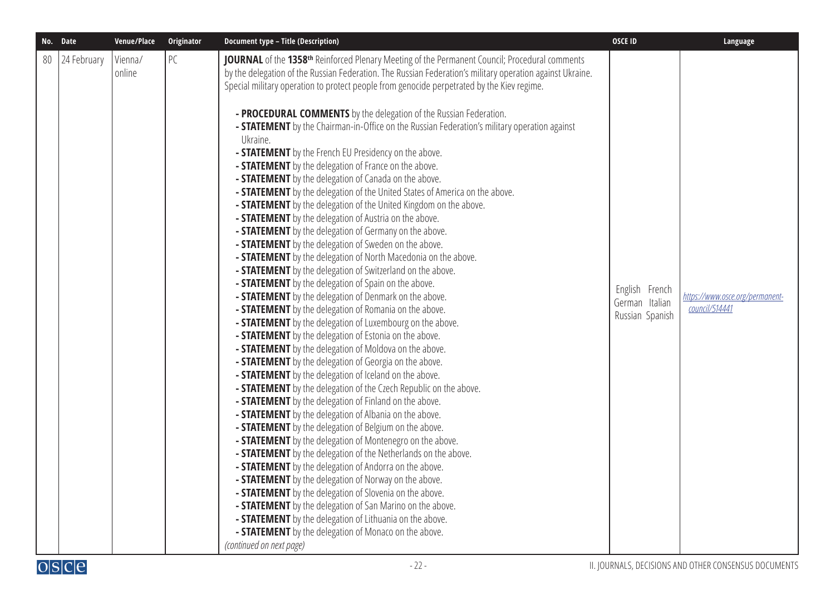| No.<br><b>Date</b> |
|--------------------|
|                    |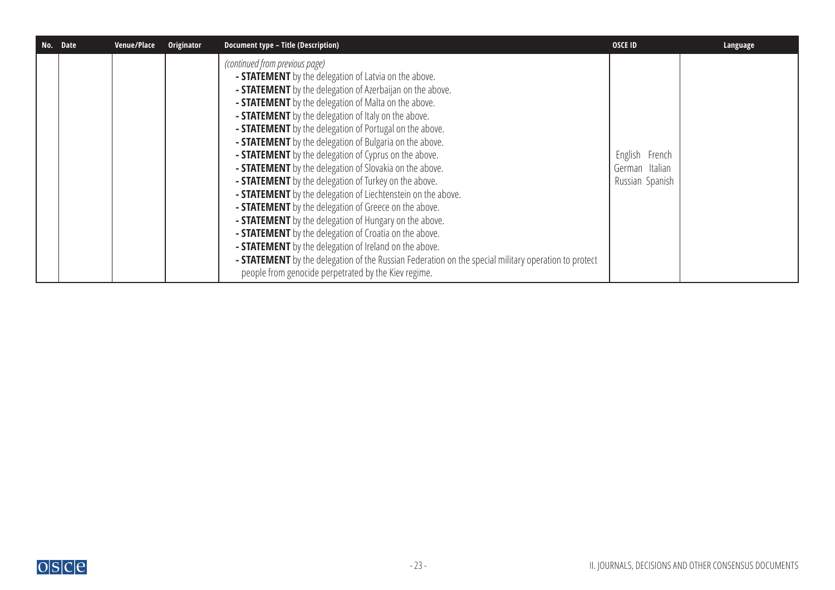| No. Date | Venue/Place | Originator | <b>Document type - Title (Description)</b>                                                                                                                                                                                                                                                                                                                                                                                                                                                                                                                                                                                                                                                                                                                                                                                                                                                                                                                                                                                                                                                                                                       | <b>OSCE ID</b>                                      | Language |
|----------|-------------|------------|--------------------------------------------------------------------------------------------------------------------------------------------------------------------------------------------------------------------------------------------------------------------------------------------------------------------------------------------------------------------------------------------------------------------------------------------------------------------------------------------------------------------------------------------------------------------------------------------------------------------------------------------------------------------------------------------------------------------------------------------------------------------------------------------------------------------------------------------------------------------------------------------------------------------------------------------------------------------------------------------------------------------------------------------------------------------------------------------------------------------------------------------------|-----------------------------------------------------|----------|
|          |             |            | (continued from previous page)<br>- STATEMENT by the delegation of Latvia on the above.<br>- <b>STATEMENT</b> by the delegation of Azerbaijan on the above.<br>- <b>STATEMENT</b> by the delegation of Malta on the above.<br>- <b>STATEMENT</b> by the delegation of Italy on the above.<br>- <b>STATEMENT</b> by the delegation of Portugal on the above.<br>- <b>STATEMENT</b> by the delegation of Bulgaria on the above.<br>- <b>STATEMENT</b> by the delegation of Cyprus on the above.<br>- <b>STATEMENT</b> by the delegation of Slovakia on the above.<br>- <b>STATEMENT</b> by the delegation of Turkey on the above.<br>- <b>STATEMENT</b> by the delegation of Liechtenstein on the above.<br>- <b>STATEMENT</b> by the delegation of Greece on the above.<br>- <b>STATEMENT</b> by the delegation of Hungary on the above.<br>- <b>STATEMENT</b> by the delegation of Croatia on the above.<br>- <b>STATEMENT</b> by the delegation of Ireland on the above.<br>- <b>STATEMENT</b> by the delegation of the Russian Federation on the special military operation to protect<br>people from genocide perpetrated by the Kiev regime. | English French<br>German Italian<br>Russian Spanish |          |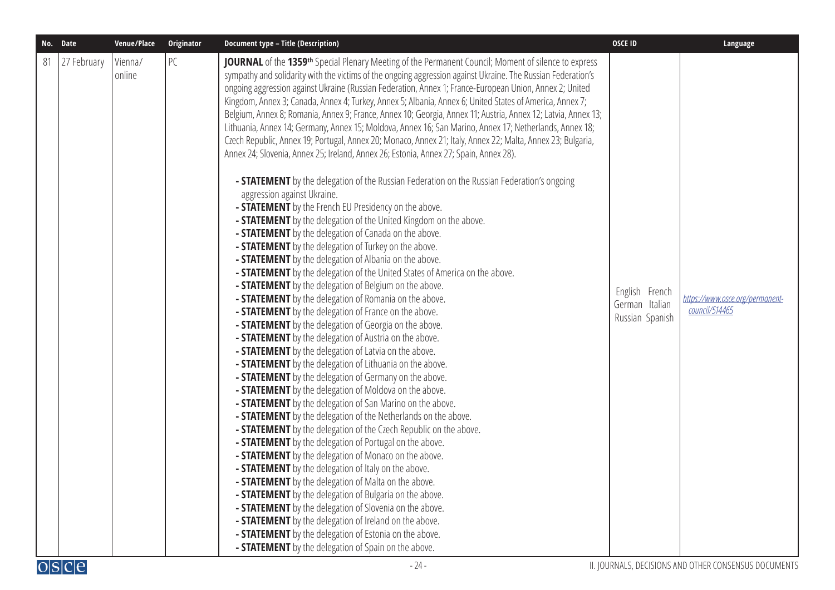|    | No. Date    | Venue/Place       | Originator | <b>Document type - Title (Description)</b>                                                                                                                                                                                                                                                                                                                                                                                                                                                                                                                                                                                                                                                                                                                                                                                                                                                                                                                                                                                                                                                                                                                                                                                                                                                                                                                                                                                                                                                                                                                                                                                                                                                                                                                                                                                                                                                                                                                                                                                                                                                                                                                                                                                                                                                                                                                                                                                                                                                                                                                                                                                                                                                                                                                                                                                           | <b>OSCE ID</b>                                      | Language                                          |
|----|-------------|-------------------|------------|--------------------------------------------------------------------------------------------------------------------------------------------------------------------------------------------------------------------------------------------------------------------------------------------------------------------------------------------------------------------------------------------------------------------------------------------------------------------------------------------------------------------------------------------------------------------------------------------------------------------------------------------------------------------------------------------------------------------------------------------------------------------------------------------------------------------------------------------------------------------------------------------------------------------------------------------------------------------------------------------------------------------------------------------------------------------------------------------------------------------------------------------------------------------------------------------------------------------------------------------------------------------------------------------------------------------------------------------------------------------------------------------------------------------------------------------------------------------------------------------------------------------------------------------------------------------------------------------------------------------------------------------------------------------------------------------------------------------------------------------------------------------------------------------------------------------------------------------------------------------------------------------------------------------------------------------------------------------------------------------------------------------------------------------------------------------------------------------------------------------------------------------------------------------------------------------------------------------------------------------------------------------------------------------------------------------------------------------------------------------------------------------------------------------------------------------------------------------------------------------------------------------------------------------------------------------------------------------------------------------------------------------------------------------------------------------------------------------------------------------------------------------------------------------------------------------------------------|-----------------------------------------------------|---------------------------------------------------|
| 81 | 27 February | Vienna/<br>online | PC         | <b>JOURNAL</b> of the 1359 <sup>th</sup> Special Plenary Meeting of the Permanent Council; Moment of silence to express<br>sympathy and solidarity with the victims of the ongoing aggression against Ukraine. The Russian Federation's<br>ongoing aggression against Ukraine (Russian Federation, Annex 1; France-European Union, Annex 2; United<br>Kingdom, Annex 3; Canada, Annex 4; Turkey, Annex 5; Albania, Annex 6; United States of America, Annex 7;<br>Belgium, Annex 8; Romania, Annex 9; France, Annex 10; Georgia, Annex 11; Austria, Annex 12; Latvia, Annex 13;<br>Lithuania, Annex 14; Germany, Annex 15; Moldova, Annex 16; San Marino, Annex 17; Netherlands, Annex 18;<br>Czech Republic, Annex 19; Portugal, Annex 20; Monaco, Annex 21; Italy, Annex 22; Malta, Annex 23; Bulgaria,<br>Annex 24; Slovenia, Annex 25; Ireland, Annex 26; Estonia, Annex 27; Spain, Annex 28).<br>- <b>STATEMENT</b> by the delegation of the Russian Federation on the Russian Federation's ongoing<br>aggression against Ukraine.<br>- <b>STATEMENT</b> by the French EU Presidency on the above.<br>- <b>STATEMENT</b> by the delegation of the United Kingdom on the above.<br>- <b>STATEMENT</b> by the delegation of Canada on the above.<br>- STATEMENT by the delegation of Turkey on the above.<br>- <b>STATEMENT</b> by the delegation of Albania on the above.<br>- <b>STATEMENT</b> by the delegation of the United States of America on the above.<br>- <b>STATEMENT</b> by the delegation of Belgium on the above.<br>- STATEMENT by the delegation of Romania on the above.<br>- STATEMENT by the delegation of France on the above.<br>- <b>STATEMENT</b> by the delegation of Georgia on the above.<br>- STATEMENT by the delegation of Austria on the above.<br>- <b>STATEMENT</b> by the delegation of Latvia on the above.<br>- <b>STATEMENT</b> by the delegation of Lithuania on the above.<br>- <b>STATEMENT</b> by the delegation of Germany on the above.<br>- STATEMENT by the delegation of Moldova on the above.<br>- <b>STATEMENT</b> by the delegation of San Marino on the above.<br>- <b>STATEMENT</b> by the delegation of the Netherlands on the above.<br>- STATEMENT by the delegation of the Czech Republic on the above.<br>- STATEMENT by the delegation of Portugal on the above.<br>- STATEMENT by the delegation of Monaco on the above.<br>- STATEMENT by the delegation of Italy on the above.<br>- STATEMENT by the delegation of Malta on the above.<br>- <b>STATEMENT</b> by the delegation of Bulgaria on the above.<br>- <b>STATEMENT</b> by the delegation of Slovenia on the above.<br>- STATEMENT by the delegation of Ireland on the above.<br>- <b>STATEMENT</b> by the delegation of Estonia on the above.<br>- <b>STATEMENT</b> by the delegation of Spain on the above. | English French<br>German Italian<br>Russian Spanish | https://www.osce.org/permanent-<br>council/514465 |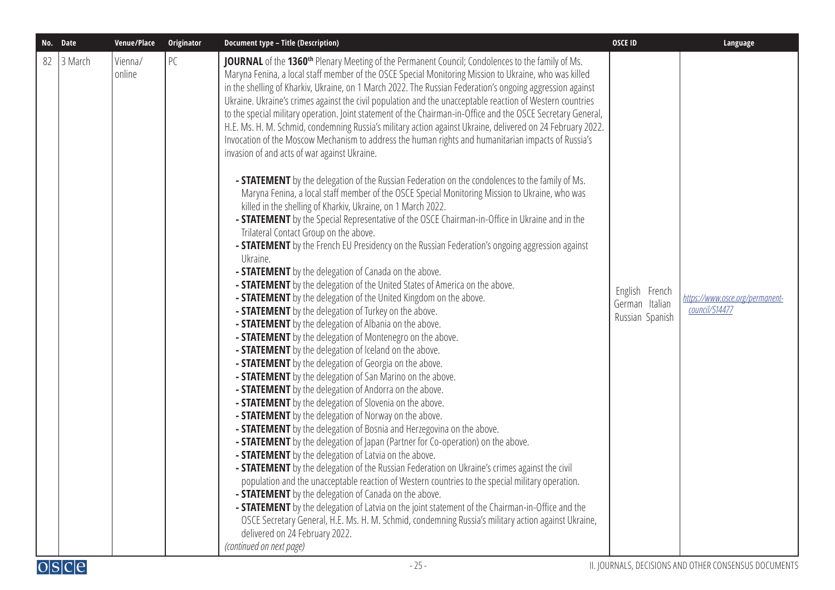|    | No. Date | Venue/Place       | Originator | <b>Document type - Title (Description)</b>                                                                                                                                                                                                                                                                                                                                                                                                                                                                                                                                                                                                                                                                                                                                                                                                                                                                                                                                                                                                                                                                                                                                                                                                                                                                                                                                                                                                                                                                                                                                                                                                                                                                                                                                                                                                                                                                                                                                                                                                                                                                                                                                                                                                                                                                                                                                                                                                                                                                                                                                                                                                                                                                                                                                                                                                                                                                                                                                                           | <b>OSCE ID</b>                                      | Language                                          |
|----|----------|-------------------|------------|------------------------------------------------------------------------------------------------------------------------------------------------------------------------------------------------------------------------------------------------------------------------------------------------------------------------------------------------------------------------------------------------------------------------------------------------------------------------------------------------------------------------------------------------------------------------------------------------------------------------------------------------------------------------------------------------------------------------------------------------------------------------------------------------------------------------------------------------------------------------------------------------------------------------------------------------------------------------------------------------------------------------------------------------------------------------------------------------------------------------------------------------------------------------------------------------------------------------------------------------------------------------------------------------------------------------------------------------------------------------------------------------------------------------------------------------------------------------------------------------------------------------------------------------------------------------------------------------------------------------------------------------------------------------------------------------------------------------------------------------------------------------------------------------------------------------------------------------------------------------------------------------------------------------------------------------------------------------------------------------------------------------------------------------------------------------------------------------------------------------------------------------------------------------------------------------------------------------------------------------------------------------------------------------------------------------------------------------------------------------------------------------------------------------------------------------------------------------------------------------------------------------------------------------------------------------------------------------------------------------------------------------------------------------------------------------------------------------------------------------------------------------------------------------------------------------------------------------------------------------------------------------------------------------------------------------------------------------------------------------------|-----------------------------------------------------|---------------------------------------------------|
| 82 | 3 March  | Vienna/<br>online | PC         | JOURNAL of the 1360 <sup>th</sup> Plenary Meeting of the Permanent Council; Condolences to the family of Ms.<br>Maryna Fenina, a local staff member of the OSCE Special Monitoring Mission to Ukraine, who was killed<br>in the shelling of Kharkiv, Ukraine, on 1 March 2022. The Russian Federation's ongoing aggression against<br>Ukraine. Ukraine's crimes against the civil population and the unacceptable reaction of Western countries<br>to the special military operation. Joint statement of the Chairman-in-Office and the OSCE Secretary General,<br>H.E. Ms. H. M. Schmid, condemning Russia's military action against Ukraine, delivered on 24 February 2022.<br>Invocation of the Moscow Mechanism to address the human rights and humanitarian impacts of Russia's<br>invasion of and acts of war against Ukraine.<br>- <b>STATEMENT</b> by the delegation of the Russian Federation on the condolences to the family of Ms.<br>Maryna Fenina, a local staff member of the OSCE Special Monitoring Mission to Ukraine, who was<br>killed in the shelling of Kharkiv, Ukraine, on 1 March 2022.<br>- <b>STATEMENT</b> by the Special Representative of the OSCE Chairman-in-Office in Ukraine and in the<br>Trilateral Contact Group on the above.<br>- <b>STATEMENT</b> by the French EU Presidency on the Russian Federation's ongoing aggression against<br>Ukraine.<br>- <b>STATEMENT</b> by the delegation of Canada on the above.<br>- <b>STATEMENT</b> by the delegation of the United States of America on the above.<br>- <b>STATEMENT</b> by the delegation of the United Kingdom on the above.<br>- STATEMENT by the delegation of Turkey on the above.<br>- STATEMENT by the delegation of Albania on the above.<br>- <b>STATEMENT</b> by the delegation of Montenegro on the above.<br>- STATEMENT by the delegation of Iceland on the above.<br>- <b>STATEMENT</b> by the delegation of Georgia on the above.<br>- <b>STATEMENT</b> by the delegation of San Marino on the above.<br>- STATEMENT by the delegation of Andorra on the above.<br>- STATEMENT by the delegation of Slovenia on the above.<br>- <b>STATEMENT</b> by the delegation of Norway on the above.<br>- <b>STATEMENT</b> by the delegation of Bosnia and Herzegovina on the above.<br>- <b>STATEMENT</b> by the delegation of Japan (Partner for Co-operation) on the above.<br>- STATEMENT by the delegation of Latvia on the above.<br>- <b>STATEMENT</b> by the delegation of the Russian Federation on Ukraine's crimes against the civil<br>population and the unacceptable reaction of Western countries to the special military operation.<br>- <b>STATEMENT</b> by the delegation of Canada on the above.<br>- <b>STATEMENT</b> by the delegation of Latvia on the joint statement of the Chairman-in-Office and the<br>OSCE Secretary General, H.E. Ms. H. M. Schmid, condemning Russia's military action against Ukraine,<br>delivered on 24 February 2022.<br>(continued on next page) | English French<br>German Italian<br>Russian Spanish | https://www.osce.org/permanent-<br>council/514477 |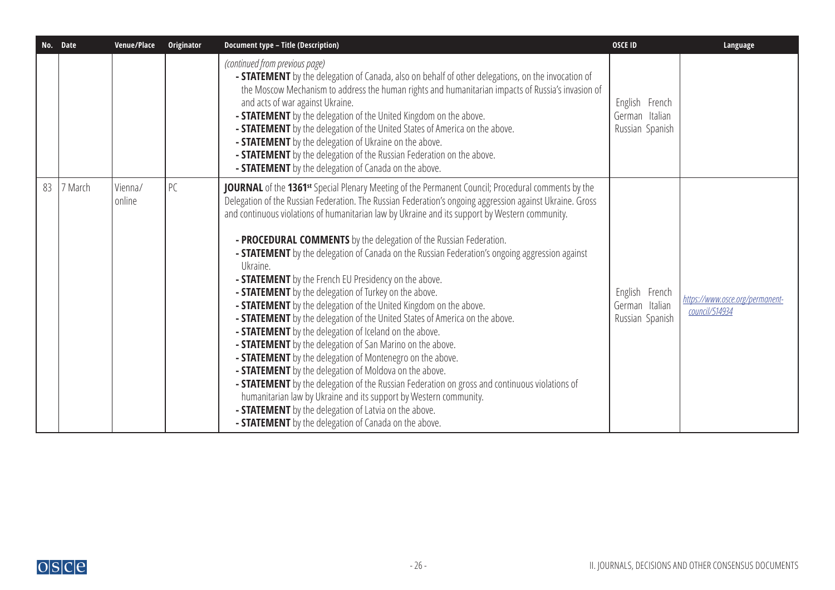| No. Date |         | Venue/Place       | Originator | <b>Document type - Title (Description)</b>                                                                                                                                                                                                                                                                                                                                                                                                                                                                                                                                                                                                                                                                                                                                                                                                                                                                                                                                                                                                                                                                                                                                                                                                                                                                                                                                                  | <b>OSCE ID</b>                                      | Language                                          |
|----------|---------|-------------------|------------|---------------------------------------------------------------------------------------------------------------------------------------------------------------------------------------------------------------------------------------------------------------------------------------------------------------------------------------------------------------------------------------------------------------------------------------------------------------------------------------------------------------------------------------------------------------------------------------------------------------------------------------------------------------------------------------------------------------------------------------------------------------------------------------------------------------------------------------------------------------------------------------------------------------------------------------------------------------------------------------------------------------------------------------------------------------------------------------------------------------------------------------------------------------------------------------------------------------------------------------------------------------------------------------------------------------------------------------------------------------------------------------------|-----------------------------------------------------|---------------------------------------------------|
|          |         |                   |            | (continued from previous page)<br>- <b>STATEMENT</b> by the delegation of Canada, also on behalf of other delegations, on the invocation of<br>the Moscow Mechanism to address the human rights and humanitarian impacts of Russia's invasion of<br>and acts of war against Ukraine.<br>- <b>STATEMENT</b> by the delegation of the United Kingdom on the above.<br>- <b>STATEMENT</b> by the delegation of the United States of America on the above.<br>- <b>STATEMENT</b> by the delegation of Ukraine on the above.<br>- <b>STATEMENT</b> by the delegation of the Russian Federation on the above.<br><b>- STATEMENT</b> by the delegation of Canada on the above.                                                                                                                                                                                                                                                                                                                                                                                                                                                                                                                                                                                                                                                                                                                     | English French<br>German Italian<br>Russian Spanish |                                                   |
| 83       | 7 March | Vienna/<br>online | PC         | JOURNAL of the 1361 <sup>st</sup> Special Plenary Meeting of the Permanent Council; Procedural comments by the<br>Delegation of the Russian Federation. The Russian Federation's ongoing aggression against Ukraine. Gross<br>and continuous violations of humanitarian law by Ukraine and its support by Western community.<br>- PROCEDURAL COMMENTS by the delegation of the Russian Federation.<br>- <b>STATEMENT</b> by the delegation of Canada on the Russian Federation's ongoing aggression against<br>Ukraine.<br>- <b>STATEMENT</b> by the French EU Presidency on the above.<br>- <b>STATEMENT</b> by the delegation of Turkey on the above.<br>- <b>STATEMENT</b> by the delegation of the United Kingdom on the above.<br>- <b>STATEMENT</b> by the delegation of the United States of America on the above.<br>- <b>STATEMENT</b> by the delegation of Iceland on the above.<br>- <b>STATEMENT</b> by the delegation of San Marino on the above.<br>- STATEMENT by the delegation of Montenegro on the above.<br>- <b>STATEMENT</b> by the delegation of Moldova on the above.<br>- STATEMENT by the delegation of the Russian Federation on gross and continuous violations of<br>humanitarian law by Ukraine and its support by Western community.<br>- <b>STATEMENT</b> by the delegation of Latvia on the above.<br>- STATEMENT by the delegation of Canada on the above. | English French<br>German Italian<br>Russian Spanish | https://www.osce.org/permanent-<br>council/514934 |

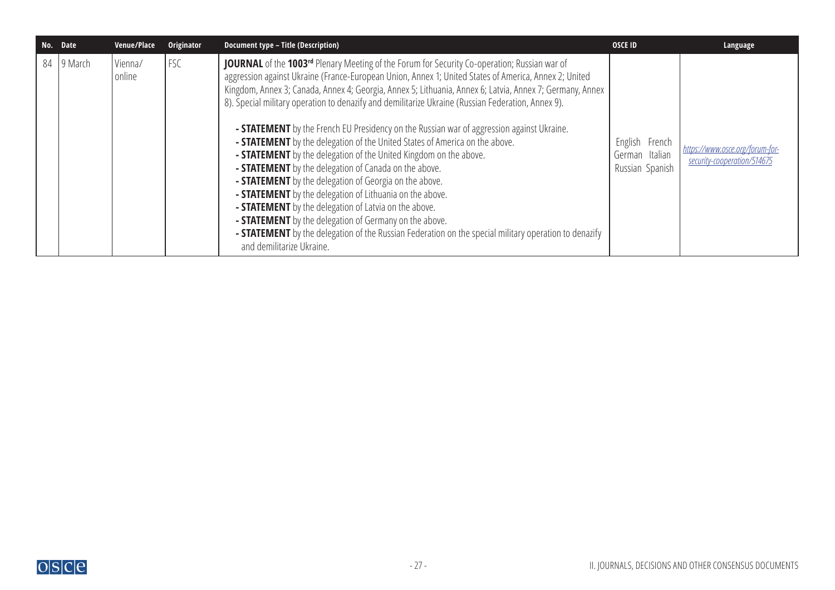| No. | <b>Date</b> | Venue/Place       | Originator | <b>Document type - Title (Description)</b>                                                                                                                                                                                                                                                                                                                                                                                                                                                                                                                                                                                                                                                                                                                                                                                                                                                                                                                                                                                                                                                                                                                                    | <b>OSCE ID</b>                                      | Language                                                       |
|-----|-------------|-------------------|------------|-------------------------------------------------------------------------------------------------------------------------------------------------------------------------------------------------------------------------------------------------------------------------------------------------------------------------------------------------------------------------------------------------------------------------------------------------------------------------------------------------------------------------------------------------------------------------------------------------------------------------------------------------------------------------------------------------------------------------------------------------------------------------------------------------------------------------------------------------------------------------------------------------------------------------------------------------------------------------------------------------------------------------------------------------------------------------------------------------------------------------------------------------------------------------------|-----------------------------------------------------|----------------------------------------------------------------|
|     | 84 9 March  | Vienna/<br>online | FSC        | <b>JOURNAL</b> of the 1003 <sup>rd</sup> Plenary Meeting of the Forum for Security Co-operation; Russian war of<br>aggression against Ukraine (France-European Union, Annex 1; United States of America, Annex 2; United<br>Kingdom, Annex 3; Canada, Annex 4; Georgia, Annex 5; Lithuania, Annex 6; Latvia, Annex 7; Germany, Annex<br>8). Special military operation to denazify and demilitarize Ukraine (Russian Federation, Annex 9).<br><b>- STATEMENT</b> by the French EU Presidency on the Russian war of aggression against Ukraine.<br>- STATEMENT by the delegation of the United States of America on the above.<br>- STATEMENT by the delegation of the United Kingdom on the above.<br>- <b>STATEMENT</b> by the delegation of Canada on the above.<br>- STATEMENT by the delegation of Georgia on the above.<br>- <b>STATEMENT</b> by the delegation of Lithuania on the above.<br>- <b>STATEMENT</b> by the delegation of Latvia on the above.<br>- <b>STATEMENT</b> by the delegation of Germany on the above.<br>- <b>STATEMENT</b> by the delegation of the Russian Federation on the special military operation to denazify<br>and demilitarize Ukraine. | English French<br>German Italian<br>Russian Spanish | https://www.osce.org/forum-for-<br>security-cooperation/514675 |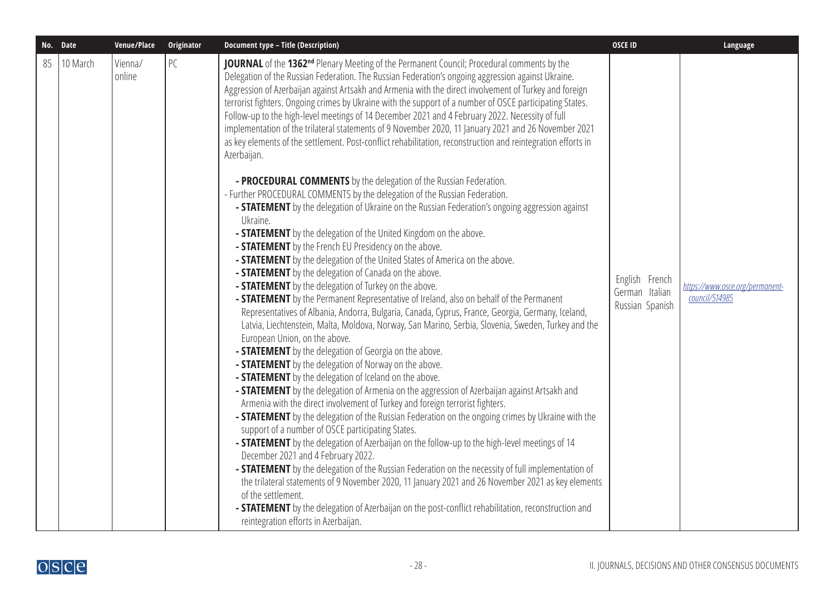|    | No. Date | Venue/Place       | <b>Originator</b> | <b>Document type - Title (Description)</b>                                                                                                                                                                                                                                                                                                                                                                                                                                                                                                                                                                                                                                                                                                                                                                                                                                                                                                                                                                                                                                                                                                                                                                                                                                                                                                                                                                                                                                                                                                                                                                                                                                                                                                                                                                                                                                                                                                                                                                                                                                                                                                                                                                                                                                                                                                                                                                                                                                                                                                                                                                                                                                                                                                                                                                                     | <b>OSCE ID</b>                                      | Language                                          |
|----|----------|-------------------|-------------------|--------------------------------------------------------------------------------------------------------------------------------------------------------------------------------------------------------------------------------------------------------------------------------------------------------------------------------------------------------------------------------------------------------------------------------------------------------------------------------------------------------------------------------------------------------------------------------------------------------------------------------------------------------------------------------------------------------------------------------------------------------------------------------------------------------------------------------------------------------------------------------------------------------------------------------------------------------------------------------------------------------------------------------------------------------------------------------------------------------------------------------------------------------------------------------------------------------------------------------------------------------------------------------------------------------------------------------------------------------------------------------------------------------------------------------------------------------------------------------------------------------------------------------------------------------------------------------------------------------------------------------------------------------------------------------------------------------------------------------------------------------------------------------------------------------------------------------------------------------------------------------------------------------------------------------------------------------------------------------------------------------------------------------------------------------------------------------------------------------------------------------------------------------------------------------------------------------------------------------------------------------------------------------------------------------------------------------------------------------------------------------------------------------------------------------------------------------------------------------------------------------------------------------------------------------------------------------------------------------------------------------------------------------------------------------------------------------------------------------------------------------------------------------------------------------------------------------|-----------------------------------------------------|---------------------------------------------------|
| 85 | 10 March | Vienna/<br>online | PC                | JOURNAL of the 1362 <sup>nd</sup> Plenary Meeting of the Permanent Council; Procedural comments by the<br>Delegation of the Russian Federation. The Russian Federation's ongoing aggression against Ukraine.<br>Aggression of Azerbaijan against Artsakh and Armenia with the direct involvement of Turkey and foreign<br>terrorist fighters. Ongoing crimes by Ukraine with the support of a number of OSCE participating States.<br>Follow-up to the high-level meetings of 14 December 2021 and 4 February 2022. Necessity of full<br>implementation of the trilateral statements of 9 November 2020, 11 January 2021 and 26 November 2021<br>as key elements of the settlement. Post-conflict rehabilitation, reconstruction and reintegration efforts in<br>Azerbaijan.<br>- PROCEDURAL COMMENTS by the delegation of the Russian Federation.<br>- Further PROCEDURAL COMMENTS by the delegation of the Russian Federation.<br>- <b>STATEMENT</b> by the delegation of Ukraine on the Russian Federation's ongoing aggression against<br>Ukraine.<br>- <b>STATEMENT</b> by the delegation of the United Kingdom on the above.<br>- STATEMENT by the French EU Presidency on the above.<br>- <b>STATEMENT</b> by the delegation of the United States of America on the above.<br>- <b>STATEMENT</b> by the delegation of Canada on the above.<br>- STATEMENT by the delegation of Turkey on the above.<br>- <b>STATEMENT</b> by the Permanent Representative of Ireland, also on behalf of the Permanent<br>Representatives of Albania, Andorra, Bulgaria, Canada, Cyprus, France, Georgia, Germany, Iceland,<br>Latvia, Liechtenstein, Malta, Moldova, Norway, San Marino, Serbia, Slovenia, Sweden, Turkey and the<br>European Union, on the above.<br>- STATEMENT by the delegation of Georgia on the above.<br>- STATEMENT by the delegation of Norway on the above.<br>- STATEMENT by the delegation of Iceland on the above.<br>- <b>STATEMENT</b> by the delegation of Armenia on the aggression of Azerbaijan against Artsakh and<br>Armenia with the direct involvement of Turkey and foreign terrorist fighters.<br>- <b>STATEMENT</b> by the delegation of the Russian Federation on the ongoing crimes by Ukraine with the<br>support of a number of OSCE participating States.<br>- STATEMENT by the delegation of Azerbaijan on the follow-up to the high-level meetings of 14<br>December 2021 and 4 February 2022.<br>- STATEMENT by the delegation of the Russian Federation on the necessity of full implementation of<br>the trilateral statements of 9 November 2020, 11 January 2021 and 26 November 2021 as key elements<br>of the settlement.<br><b>- STATEMENT</b> by the delegation of Azerbaijan on the post-conflict rehabilitation, reconstruction and<br>reintegration efforts in Azerbaijan. | English French<br>German Italian<br>Russian Spanish | https://www.osce.org/permanent-<br>council/514985 |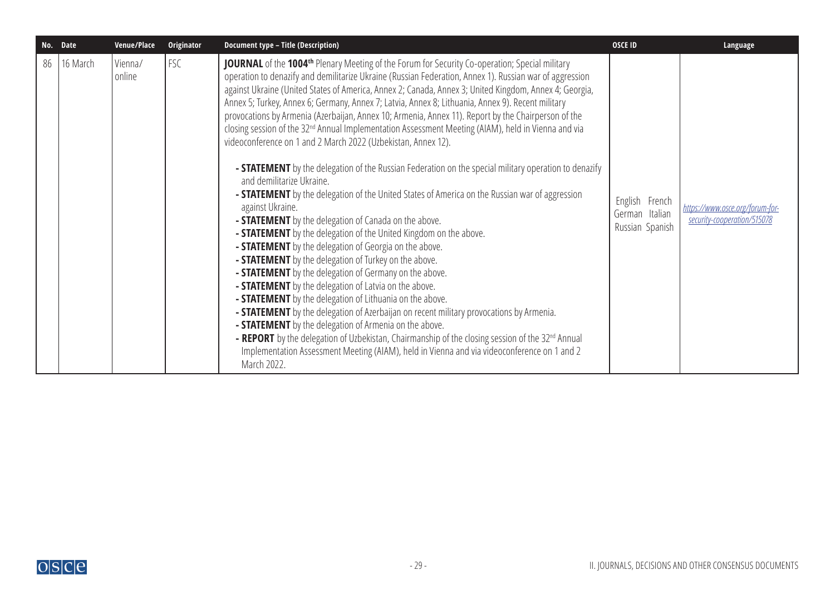|    | No. Date | Venue/Place       | Originator | <b>Document type - Title (Description)</b>                                                                                                                                                                                                                                                                                                                                                                                                                                                                                                                                                                                                                                                                                                                                                                                                                                                                                                                                                                                                                                                                                                                                                                                                                                                                                                                                                                                                                                                                                                                                                                                                                                                                                                                                                                                                                                                                | <b>OSCE ID</b>                                      | Language                                                       |
|----|----------|-------------------|------------|-----------------------------------------------------------------------------------------------------------------------------------------------------------------------------------------------------------------------------------------------------------------------------------------------------------------------------------------------------------------------------------------------------------------------------------------------------------------------------------------------------------------------------------------------------------------------------------------------------------------------------------------------------------------------------------------------------------------------------------------------------------------------------------------------------------------------------------------------------------------------------------------------------------------------------------------------------------------------------------------------------------------------------------------------------------------------------------------------------------------------------------------------------------------------------------------------------------------------------------------------------------------------------------------------------------------------------------------------------------------------------------------------------------------------------------------------------------------------------------------------------------------------------------------------------------------------------------------------------------------------------------------------------------------------------------------------------------------------------------------------------------------------------------------------------------------------------------------------------------------------------------------------------------|-----------------------------------------------------|----------------------------------------------------------------|
| 86 | 16 March | Vienna/<br>online | FSC        | <b>JOURNAL</b> of the 1004 <sup>th</sup> Plenary Meeting of the Forum for Security Co-operation; Special military<br>operation to denazify and demilitarize Ukraine (Russian Federation, Annex 1). Russian war of aggression<br>against Ukraine (United States of America, Annex 2; Canada, Annex 3; United Kingdom, Annex 4; Georgia,<br>Annex 5; Turkey, Annex 6; Germany, Annex 7; Latvia, Annex 8; Lithuania, Annex 9). Recent military<br>provocations by Armenia (Azerbaijan, Annex 10; Armenia, Annex 11). Report by the Chairperson of the<br>closing session of the 32 <sup>nd</sup> Annual Implementation Assessment Meeting (AIAM), held in Vienna and via<br>videoconference on 1 and 2 March 2022 (Uzbekistan, Annex 12).<br><b>- STATEMENT</b> by the delegation of the Russian Federation on the special military operation to denazify<br>and demilitarize Ukraine.<br>- <b>STATEMENT</b> by the delegation of the United States of America on the Russian war of aggression<br>against Ukraine.<br><b>- STATEMENT</b> by the delegation of Canada on the above.<br>- <b>STATEMENT</b> by the delegation of the United Kingdom on the above.<br>- <b>STATEMENT</b> by the delegation of Georgia on the above.<br>- <b>STATEMENT</b> by the delegation of Turkey on the above.<br>- <b>STATEMENT</b> by the delegation of Germany on the above.<br>- <b>STATEMENT</b> by the delegation of Latvia on the above.<br>- <b>STATEMENT</b> by the delegation of Lithuania on the above.<br>- <b>STATEMENT</b> by the delegation of Azerbaijan on recent military provocations by Armenia.<br>- <b>STATEMENT</b> by the delegation of Armenia on the above.<br><b>- REPORT</b> by the delegation of Uzbekistan, Chairmanship of the closing session of the 32 <sup>nd</sup> Annual<br>Implementation Assessment Meeting (AIAM), held in Vienna and via videoconference on 1 and 2<br>March 2022. | English French<br>German Italian<br>Russian Spanish | https://www.osce.org/forum-for-<br>security-cooperation/515078 |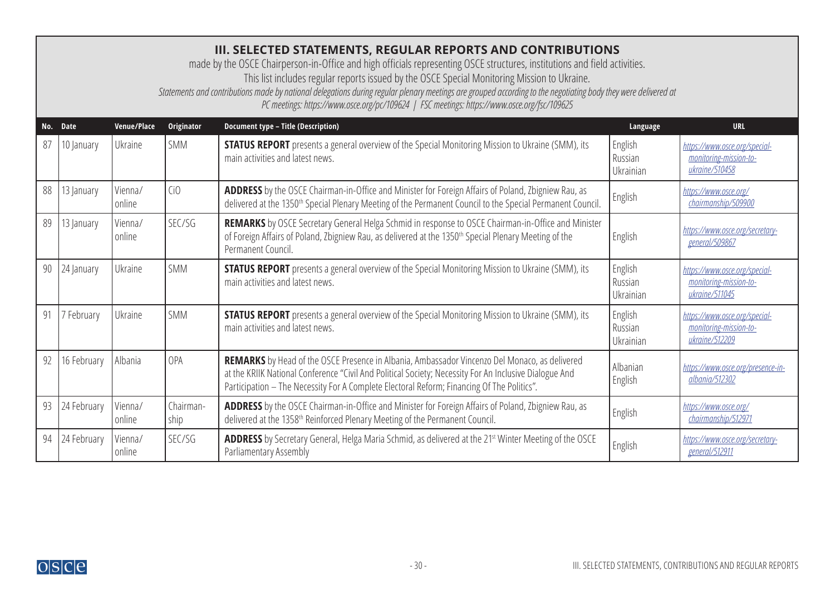### **III. SELECTED STATEMENTS, REGULAR REPORTS AND CONTRIBUTIONS**

made by the OSCE Chairperson-in-Office and high officials representing OSCE structures, institutions and field activities.

<span id="page-29-0"></span>This list includes regular reports issued by the OSCE Special Monitoring Mission to Ukraine.

*Statements and contributions made by national delegations during regular plenary meetings are grouped according to the negotiating body they were delivered at* 

*PC meetings: https://www.osce.org/pc/109624 | FSC meetings: https://www.osce.org/fsc/109625*

| No. | <b>Date</b> | Venue/Place       | Originator        | <b>Document type - Title (Description)</b>                                                                                                                                                                                                                                                                   | Language                        | <b>URL</b>                                                                |
|-----|-------------|-------------------|-------------------|--------------------------------------------------------------------------------------------------------------------------------------------------------------------------------------------------------------------------------------------------------------------------------------------------------------|---------------------------------|---------------------------------------------------------------------------|
| 87  | 10 January  | Ukraine           | <b>SMM</b>        | <b>STATUS REPORT</b> presents a general overview of the Special Monitoring Mission to Ukraine (SMM), its<br>main activities and latest news.                                                                                                                                                                 | English<br>Russian<br>Ukrainian | https://www.osce.org/special-<br>monitoring-mission-to-<br>ukraine/510458 |
| 88  | 13 January  | Vienna/<br>online | Ci <sub>0</sub>   | ADDRESS by the OSCE Chairman-in-Office and Minister for Foreign Affairs of Poland, Zbigniew Rau, as<br>delivered at the 1350 <sup>th</sup> Special Plenary Meeting of the Permanent Council to the Special Permanent Council.                                                                                | English                         | https://www.osce.org/<br>chairmanship/509900                              |
| 89  | 13 January  | Vienna/<br>online | SEC/SG            | <b>REMARKS</b> by OSCE Secretary General Helga Schmid in response to OSCE Chairman-in-Office and Minister<br>of Foreign Affairs of Poland, Zbigniew Rau, as delivered at the 1350 <sup>th</sup> Special Plenary Meeting of the<br>Permanent Council.                                                         | English                         | https://www.osce.org/secretary-<br>general/509867                         |
| 90  | 24 January  | Ukraine           | <b>SMM</b>        | <b>STATUS REPORT</b> presents a general overview of the Special Monitoring Mission to Ukraine (SMM), its<br>main activities and latest news.                                                                                                                                                                 | English<br>Russian<br>Ukrainian | https://www.osce.org/special-<br>monitoring-mission-to-<br>ukraine/511045 |
| 91  | 7 February  | Ukraine           | <b>SMM</b>        | <b>STATUS REPORT</b> presents a general overview of the Special Monitoring Mission to Ukraine (SMM), its<br>main activities and latest news.                                                                                                                                                                 | English<br>Russian<br>Ukrainian | https://www.osce.org/special-<br>monitoring-mission-to-<br>ukraine/512209 |
| 92  | 16 February | Albania           | OPA               | <b>REMARKS</b> by Head of the OSCE Presence in Albania, Ambassador Vincenzo Del Monaco, as delivered<br>at the KRIIK National Conference "Civil And Political Society; Necessity For An Inclusive Dialogue And<br>Participation - The Necessity For A Complete Electoral Reform; Financing Of The Politics". | Albanian<br>English             | https://www.osce.org/presence-in-<br>albania/512302                       |
| 93  | 24 February | Vienna/<br>online | Chairman-<br>ship | <b>ADDRESS</b> by the OSCE Chairman-in-Office and Minister for Foreign Affairs of Poland, Zbigniew Rau, as<br>delivered at the 1358 <sup>th</sup> Reinforced Plenary Meeting of the Permanent Council.                                                                                                       | English                         | https://www.osce.org/<br>chairmanship/512971                              |
| 94  | 24 February | Vienna/<br>online | SEC/SG            | ADDRESS by Secretary General, Helga Maria Schmid, as delivered at the 21 <sup>st</sup> Winter Meeting of the OSCE<br>Parliamentary Assembly                                                                                                                                                                  | English                         | https://www.osce.org/secretary-<br>general/512911                         |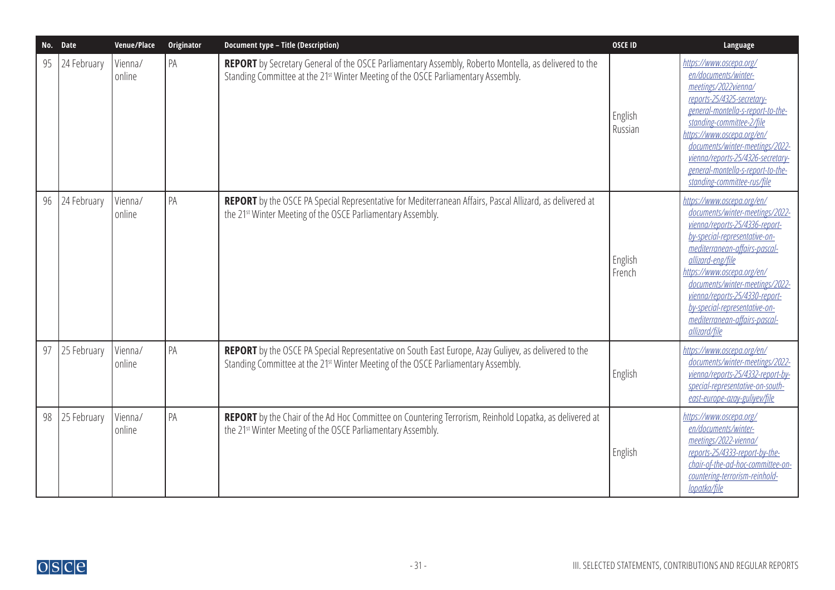| No. | <b>Date</b> | Venue/Place       | <b>Originator</b> | <b>Document type - Title (Description)</b>                                                                                                                                                                    | <b>OSCE ID</b>     | Language                                                                                                                                                                                                                                                                                                                                                                     |
|-----|-------------|-------------------|-------------------|---------------------------------------------------------------------------------------------------------------------------------------------------------------------------------------------------------------|--------------------|------------------------------------------------------------------------------------------------------------------------------------------------------------------------------------------------------------------------------------------------------------------------------------------------------------------------------------------------------------------------------|
| 95  | 24 February | Vienna/<br>online | PA                | <b>REPORT</b> by Secretary General of the OSCE Parliamentary Assembly, Roberto Montella, as delivered to the<br>Standing Committee at the 21 <sup>st</sup> Winter Meeting of the OSCE Parliamentary Assembly. | English<br>Russian | https://www.oscepa.org/<br>en/documents/winter-<br>meetings/2022vienna/<br>reports-25/4325-secretary-<br>general-montella-s-report-to-the-<br>standing-committee-2/file<br>https://www.oscepa.org/en/<br>documents/winter-meetings/2022-<br>vienna/reports-25/4326-secretary-<br>general-montella-s-report-to-the-<br>standing-committee-rus/file                            |
| 96  | 24 February | Vienna/<br>online | PA                | REPORT by the OSCE PA Special Representative for Mediterranean Affairs, Pascal Allizard, as delivered at<br>the 21 <sup>st</sup> Winter Meeting of the OSCE Parliamentary Assembly.                           | English<br>French  | https://www.oscepa.org/en/<br>documents/winter-meetings/2022-<br>vienna/reports-25/4336-report-<br>by-special-representative-on-<br>mediterranean-affairs-pascal-<br>allizard-eng/file<br>https://www.oscepa.org/en/<br>documents/winter-meetings/2022-<br>vienna/reports-25/4330-report-<br>by-special-representative-on-<br>mediterranean-affairs-pascal-<br>allizard/file |
| 97  | 25 February | Vienna/<br>online | PA                | REPORT by the OSCE PA Special Representative on South East Europe, Azay Guliyev, as delivered to the<br>Standing Committee at the 21 <sup>st</sup> Winter Meeting of the OSCE Parliamentary Assembly.         | English            | https://www.oscepa.org/en/<br>documents/winter-meetings/2022-<br>vienna/reports-25/4332-report-by-<br>special-representative-on-south-<br>east-europe-azay-guliyev/file                                                                                                                                                                                                      |
| 98  | 25 February | Vienna/<br>online | PA                | REPORT by the Chair of the Ad Hoc Committee on Countering Terrorism, Reinhold Lopatka, as delivered at<br>the 21 <sup>st</sup> Winter Meeting of the OSCE Parliamentary Assembly.                             | English            | https://www.oscepa.org/<br>en/documents/winter-<br>meetings/2022-vienna/<br>reports-25/4333-report-by-the-<br>chair-of-the-ad-hoc-committee-on-<br>countering-terrorism-reinhold-<br>lopatka/file                                                                                                                                                                            |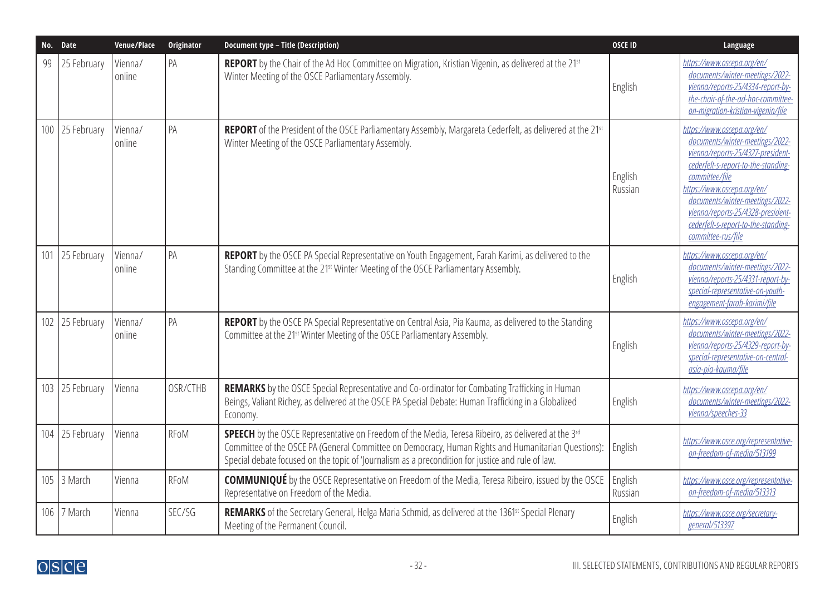| No. Date |             | Venue/Place       | Originator  | <b>Document type - Title (Description)</b>                                                                                                                                                                                                                                                                                        | <b>OSCE ID</b>     | Language                                                                                                                                                                                                                                                                                                                       |
|----------|-------------|-------------------|-------------|-----------------------------------------------------------------------------------------------------------------------------------------------------------------------------------------------------------------------------------------------------------------------------------------------------------------------------------|--------------------|--------------------------------------------------------------------------------------------------------------------------------------------------------------------------------------------------------------------------------------------------------------------------------------------------------------------------------|
| 99       | 25 February | Vienna/<br>online | PA          | REPORT by the Chair of the Ad Hoc Committee on Migration, Kristian Vigenin, as delivered at the 21 <sup>st</sup><br>Winter Meeting of the OSCE Parliamentary Assembly.                                                                                                                                                            | English            | https://www.oscepa.org/en/<br>documents/winter-meetings/2022-<br>vienna/reports-25/4334-report-by-<br>the-chair-of-the-ad-hoc-committee-<br>on-migration-kristian-vigenin/file                                                                                                                                                 |
| 100      | 25 February | Vienna/<br>online | PA          | REPORT of the President of the OSCE Parliamentary Assembly, Margareta Cederfelt, as delivered at the 21 <sup>st</sup><br>Winter Meeting of the OSCE Parliamentary Assembly.                                                                                                                                                       | English<br>Russian | https://www.oscepa.org/en/<br>documents/winter-meetings/2022-<br>vienna/reports-25/4327-president-<br>cederfelt-s-report-to-the-standing-<br>committee/file<br>https://www.oscepa.org/en/<br>documents/winter-meetings/2022-<br>vienna/reports-25/4328-president-<br>cederfelt-s-report-to-the-standing-<br>committee-rus/file |
| 101      | 25 February | Vienna/<br>online | PA          | REPORT by the OSCE PA Special Representative on Youth Engagement, Farah Karimi, as delivered to the<br>Standing Committee at the 21st Winter Meeting of the OSCE Parliamentary Assembly.                                                                                                                                          | English            | https://www.oscepa.org/en/<br>documents/winter-meetings/2022-<br>vienna/reports-25/4331-report-by-<br>special-representative-on-youth-<br>engagement-farah-karimi/file                                                                                                                                                         |
| 102      | 25 February | Vienna/<br>online | PA          | REPORT by the OSCE PA Special Representative on Central Asia, Pia Kauma, as delivered to the Standing<br>Committee at the 21st Winter Meeting of the OSCE Parliamentary Assembly.                                                                                                                                                 | English            | https://www.oscepa.org/en/<br>documents/winter-meetings/2022-<br>vienna/reports-25/4329-report-by-<br>special-representative-on-central-<br>asia-pia-kauma/file                                                                                                                                                                |
| 103      | 25 February | Vienna            | OSR/CTHB    | REMARKS by the OSCE Special Representative and Co-ordinator for Combating Trafficking in Human<br>Beings, Valiant Richey, as delivered at the OSCE PA Special Debate: Human Trafficking in a Globalized<br>Economy.                                                                                                               | English            | https://www.oscepa.org/en/<br>documents/winter-meetings/2022-<br>vienna/speeches-33                                                                                                                                                                                                                                            |
| 104      | 25 February | Vienna            | <b>RFoM</b> | <b>SPEECH</b> by the OSCE Representative on Freedom of the Media, Teresa Ribeiro, as delivered at the 3 <sup>rd</sup><br>Committee of the OSCE PA (General Committee on Democracy, Human Rights and Humanitarian Questions):<br>Special debate focused on the topic of ' ournalism as a precondition for justice and rule of law. | English            | https://www.osce.org/representative-<br>on-freedom-of-media/513199                                                                                                                                                                                                                                                             |
|          | 105 3 March | Vienna            | RFoM        | <b>COMMUNIQUÉ</b> by the OSCE Representative on Freedom of the Media, Teresa Ribeiro, issued by the OSCE<br>Representative on Freedom of the Media.                                                                                                                                                                               | English<br>Russian | https://www.osce.org/representative-<br>on-freedom-of-media/513313                                                                                                                                                                                                                                                             |
| 106      | 7 March     | Vienna            | SEC/SG      | REMARKS of the Secretary General, Helga Maria Schmid, as delivered at the 1361st Special Plenary<br>Meeting of the Permanent Council.                                                                                                                                                                                             | English            | https://www.osce.org/secretary-<br>general/513397                                                                                                                                                                                                                                                                              |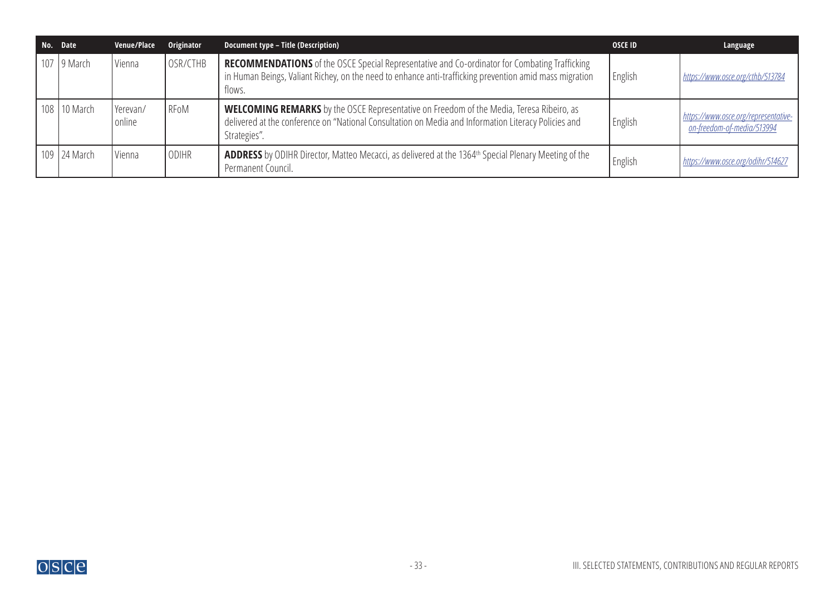| No. Date       | Venue/Place        | Originator   | <b>Document type - Title (Description)</b>                                                                                                                                                                                | <b>OSCE ID</b> | Language                                                                  |
|----------------|--------------------|--------------|---------------------------------------------------------------------------------------------------------------------------------------------------------------------------------------------------------------------------|----------------|---------------------------------------------------------------------------|
| 107   9 March  | Vienna             | OSR/CTHB     | <b>RECOMMENDATIONS</b> of the OSCE Special Representative and Co-ordinator for Combating Trafficking<br>in Human Beings, Valiant Richey, on the need to enhance anti-trafficking prevention amid mass migration<br>flows. | English        | https://www.osce.org/cthb/513784                                          |
| 108   10 March | Yerevan/<br>online | RFoM         | <b>WELCOMING REMARKS</b> by the OSCE Representative on Freedom of the Media, Teresa Ribeiro, as<br>delivered at the conference on "National Consultation on Media and Information Literacy Policies and<br>Strategies".   | English        | https://www.osce.org/representative-<br><u>on-freedom-of-media/513994</u> |
| 109 24 March   | Vienna             | <b>ODIHR</b> | <b>ADDRESS</b> by ODIHR Director, Matteo Mecacci, as delivered at the 1364 <sup>th</sup> Special Plenary Meeting of the<br>Permanent Council.                                                                             | English        | https://www.osce.org/odihr/514627                                         |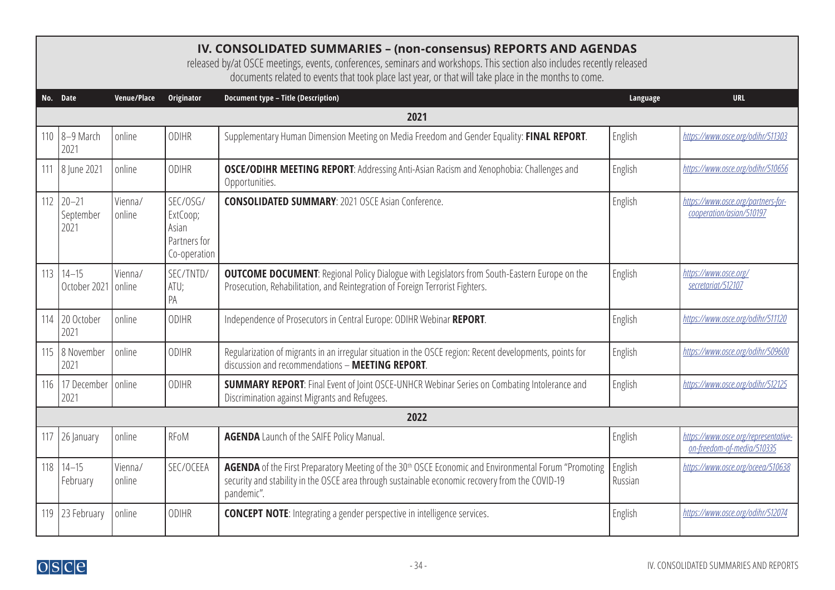<span id="page-33-0"></span>

|     | IV. CONSOLIDATED SUMMARIES - (non-consensus) REPORTS AND AGENDAS<br>released by/at OSCE meetings, events, conferences, seminars and workshops. This section also includes recently released<br>documents related to events that took place last year, or that will take place in the months to come. |                   |                                                               |                                                                                                                                                                                                                                   |                    |                                                                    |  |  |  |  |  |
|-----|------------------------------------------------------------------------------------------------------------------------------------------------------------------------------------------------------------------------------------------------------------------------------------------------------|-------------------|---------------------------------------------------------------|-----------------------------------------------------------------------------------------------------------------------------------------------------------------------------------------------------------------------------------|--------------------|--------------------------------------------------------------------|--|--|--|--|--|
|     | No. Date                                                                                                                                                                                                                                                                                             | Venue/Place       | Originator                                                    | <b>Document type - Title (Description)</b>                                                                                                                                                                                        | Language           | <b>URL</b>                                                         |  |  |  |  |  |
|     | 2021                                                                                                                                                                                                                                                                                                 |                   |                                                               |                                                                                                                                                                                                                                   |                    |                                                                    |  |  |  |  |  |
| 110 | $8-9$ March<br>2021                                                                                                                                                                                                                                                                                  | online            | <b>ODIHR</b>                                                  | Supplementary Human Dimension Meeting on Media Freedom and Gender Equality: FINAL REPORT.                                                                                                                                         | English            | https://www.osce.org/odihr/511303                                  |  |  |  |  |  |
| 111 | 8 June 2021                                                                                                                                                                                                                                                                                          | online            | <b>ODIHR</b>                                                  | OSCE/ODIHR MEETING REPORT: Addressing Anti-Asian Racism and Xenophobia: Challenges and<br>Opportunities.                                                                                                                          | English            | https://www.osce.org/odihr/510656                                  |  |  |  |  |  |
| 112 | $20 - 21$<br>September<br>2021                                                                                                                                                                                                                                                                       | Vienna/<br>online | SEC/OSG/<br>ExtCoop;<br>Asian<br>Partners for<br>Co-operation | <b>CONSOLIDATED SUMMARY: 2021 OSCE Asian Conference.</b>                                                                                                                                                                          | English            | https://www.osce.org/partners-for-<br>cooperation/asian/510197     |  |  |  |  |  |
| 113 | $14 - 15$<br>October 2021                                                                                                                                                                                                                                                                            | Vienna/<br>online | SEC/TNTD/<br>ATU;<br>PA                                       | <b>OUTCOME DOCUMENT:</b> Regional Policy Dialogue with Legislators from South-Eastern Europe on the<br>Prosecution, Rehabilitation, and Reintegration of Foreign Terrorist Fighters.                                              | English            | https://www.osce.org/<br>secretariat/512107                        |  |  |  |  |  |
| 114 | 20 October<br>2021                                                                                                                                                                                                                                                                                   | online            | ODIHR                                                         | Independence of Prosecutors in Central Europe: ODIHR Webinar REPORT.                                                                                                                                                              | English            | https://www.osce.org/odihr/511120                                  |  |  |  |  |  |
|     | 115   8 November<br>2021                                                                                                                                                                                                                                                                             | online            | <b>ODIHR</b>                                                  | Regularization of migrants in an irregular situation in the OSCE region: Recent developments, points for<br>discussion and recommendations - MEETING REPORT.                                                                      | English            | https://www.osce.org/odihr/509600                                  |  |  |  |  |  |
| 116 | 17 December online<br>2021                                                                                                                                                                                                                                                                           |                   | <b>ODIHR</b>                                                  | <b>SUMMARY REPORT:</b> Final Event of Joint OSCE-UNHCR Webinar Series on Combating Intolerance and<br>Discrimination against Migrants and Refugees.                                                                               | English            | https://www.osce.org/odihr/512125                                  |  |  |  |  |  |
|     |                                                                                                                                                                                                                                                                                                      |                   |                                                               | 2022                                                                                                                                                                                                                              |                    |                                                                    |  |  |  |  |  |
| 117 | 26 January                                                                                                                                                                                                                                                                                           | online            | RFoM                                                          | <b>AGENDA</b> Launch of the SAIFE Policy Manual.                                                                                                                                                                                  | English            | https://www.osce.org/representative-<br>on-freedom-of-media/510335 |  |  |  |  |  |
| 118 | $14 - 15$<br>February                                                                                                                                                                                                                                                                                | Vienna/<br>online | SEC/OCEEA                                                     | AGENDA of the First Preparatory Meeting of the 30 <sup>th</sup> OSCE Economic and Environmental Forum "Promoting<br>security and stability in the OSCE area through sustainable economic recovery from the COVID-19<br>pandemic". | English<br>Russian | https://www.osce.org/oceea/510638                                  |  |  |  |  |  |
| 119 | 23 February                                                                                                                                                                                                                                                                                          | online            | <b>ODIHR</b>                                                  | <b>CONCEPT NOTE:</b> Integrating a gender perspective in intelligence services.                                                                                                                                                   | English            | https://www.osce.org/odihr/512074                                  |  |  |  |  |  |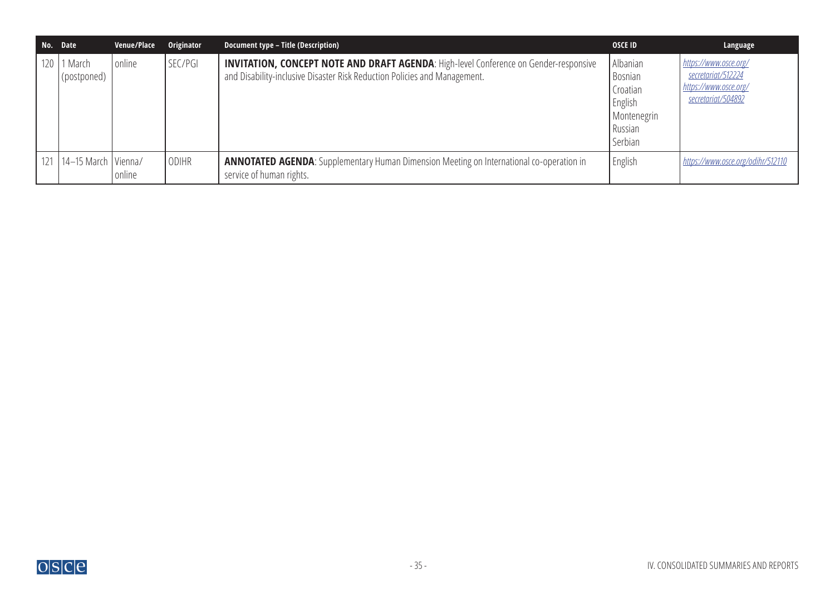| No. Date   |                             | Venue/Place | Originator   | Document type - Title (Description)                                                                                                                                       | <b>OSCE ID</b>                                                                         | Language                                                                                          |
|------------|-----------------------------|-------------|--------------|---------------------------------------------------------------------------------------------------------------------------------------------------------------------------|----------------------------------------------------------------------------------------|---------------------------------------------------------------------------------------------------|
| $120 \mid$ | 1 March<br>(postponed)      | online      | SEC/PGI      | <b>INVITATION, CONCEPT NOTE AND DRAFT AGENDA: High-level Conference on Gender-responsive</b><br>and Disability-inclusive Disaster Risk Reduction Policies and Management. | Albanian<br><b>Bosnian</b><br>Croatian<br>English<br>Montenegrin<br>Russian<br>Serbian | https://www.osce.org/<br>secretariat/512224<br>https://www.osce.org/<br><u>secretariat/504892</u> |
|            | 121   14–15 March   Vienna/ | online      | <b>ODIHR</b> | <b>ANNOTATED AGENDA:</b> Supplementary Human Dimension Meeting on International co-operation in<br>service of human rights.                                               | English                                                                                | https://www.osce.org/odihr/512110                                                                 |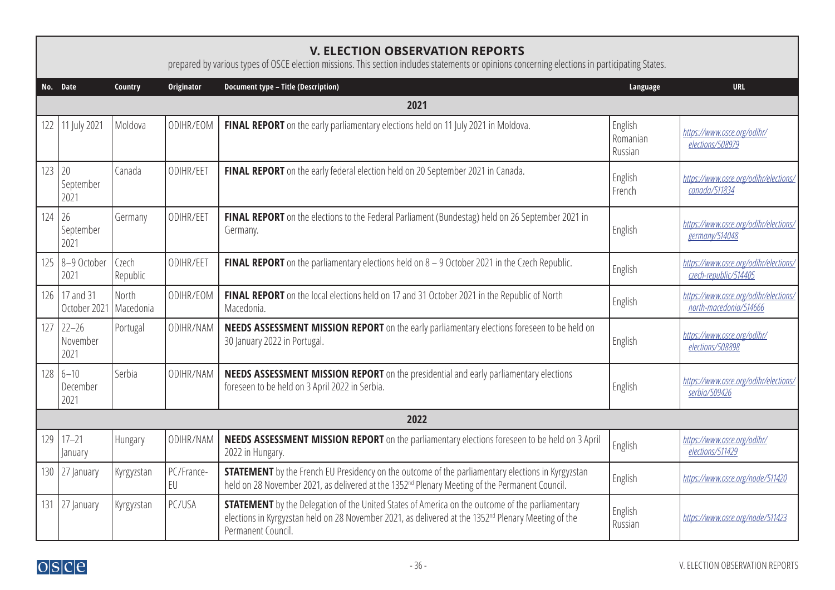<span id="page-35-0"></span>

|     | <b>V. ELECTION OBSERVATION REPORTS</b><br>prepared by various types of OSCE election missions. This section includes statements or opinions concerning elections in participating States. |                    |                  |                                                                                                                                                                                                                                                 |                                |                                                                 |  |  |  |  |
|-----|-------------------------------------------------------------------------------------------------------------------------------------------------------------------------------------------|--------------------|------------------|-------------------------------------------------------------------------------------------------------------------------------------------------------------------------------------------------------------------------------------------------|--------------------------------|-----------------------------------------------------------------|--|--|--|--|
|     | No. Date                                                                                                                                                                                  | Country            | Originator       | <b>Document type - Title (Description)</b>                                                                                                                                                                                                      | Language                       | <b>URL</b>                                                      |  |  |  |  |
|     | 2021                                                                                                                                                                                      |                    |                  |                                                                                                                                                                                                                                                 |                                |                                                                 |  |  |  |  |
| 122 | 11 July 2021                                                                                                                                                                              | Moldova            | ODIHR/EOM        | FINAL REPORT on the early parliamentary elections held on 11 July 2021 in Moldova.                                                                                                                                                              | English<br>Romanian<br>Russian | https://www.osce.org/odihr/<br>elections/508979                 |  |  |  |  |
| 123 | 20<br>September<br>2021                                                                                                                                                                   | Canada             | ODIHR/EET        | FINAL REPORT on the early federal election held on 20 September 2021 in Canada.                                                                                                                                                                 | English<br>French              | https://www.osce.org/odihr/elections/<br>canada/511834          |  |  |  |  |
| 124 | 26<br>September<br>2021                                                                                                                                                                   | Germany            | ODIHR/EET        | FINAL REPORT on the elections to the Federal Parliament (Bundestag) held on 26 September 2021 in<br>Germany.                                                                                                                                    | English                        | https://www.osce.org/odihr/elections/<br>germany/514048         |  |  |  |  |
| 125 | 8-9 October<br>2021                                                                                                                                                                       | Czech<br>Republic  | ODIHR/EET        | <b>FINAL REPORT</b> on the parliamentary elections held on $8 - 9$ October 2021 in the Czech Republic.                                                                                                                                          | English                        | https://www.osce.org/odihr/elections/<br>czech-republic/514405  |  |  |  |  |
| 126 | 17 and 31<br>October 2021                                                                                                                                                                 | North<br>Macedonia | ODIHR/EOM        | FINAL REPORT on the local elections held on 17 and 31 October 2021 in the Republic of North<br>Macedonia.                                                                                                                                       | English                        | https://www.osce.org/odihr/elections/<br>north-macedonia/514666 |  |  |  |  |
| 127 | $22 - 26$<br>November<br>2021                                                                                                                                                             | Portugal           | ODIHR/NAM        | <b>NEEDS ASSESSMENT MISSION REPORT</b> on the early parliamentary elections foreseen to be held on<br>30 January 2022 in Portugal.                                                                                                              | English                        | https://www.osce.org/odihr/<br>elections/508898                 |  |  |  |  |
| 128 | $6 - 10$<br>December<br>2021                                                                                                                                                              | Serbia             | ODIHR/NAM        | NEEDS ASSESSMENT MISSION REPORT on the presidential and early parliamentary elections<br>foreseen to be held on 3 April 2022 in Serbia.                                                                                                         | English                        | https://www.osce.org/odihr/elections/<br>serbia/509426          |  |  |  |  |
|     |                                                                                                                                                                                           |                    |                  | 2022                                                                                                                                                                                                                                            |                                |                                                                 |  |  |  |  |
| 129 | $17 - 21$<br>January                                                                                                                                                                      | Hungary            | ODIHR/NAM        | <b>NEEDS ASSESSMENT MISSION REPORT</b> on the parliamentary elections foreseen to be held on 3 April<br>2022 in Hungary.                                                                                                                        | English                        | https://www.osce.org/odihr/<br>elections/511429                 |  |  |  |  |
|     | 130 27 January                                                                                                                                                                            | Kyrgyzstan         | PC/France-<br>EU | <b>STATEMENT</b> by the French EU Presidency on the outcome of the parliamentary elections in Kyrgyzstan<br>held on 28 November 2021, as delivered at the 1352 <sup>nd</sup> Plenary Meeting of the Permanent Council.                          | English                        | https://www.osce.org/node/511420                                |  |  |  |  |
| 131 | 27 January                                                                                                                                                                                | Kyrgyzstan         | PC/USA           | <b>STATEMENT</b> by the Delegation of the United States of America on the outcome of the parliamentary<br>elections in Kyrgyzstan held on 28 November 2021, as delivered at the 1352 <sup>nd</sup> Plenary Meeting of the<br>Permanent Council. | English<br>Russian             | https://www.osce.org/node/511423                                |  |  |  |  |

Г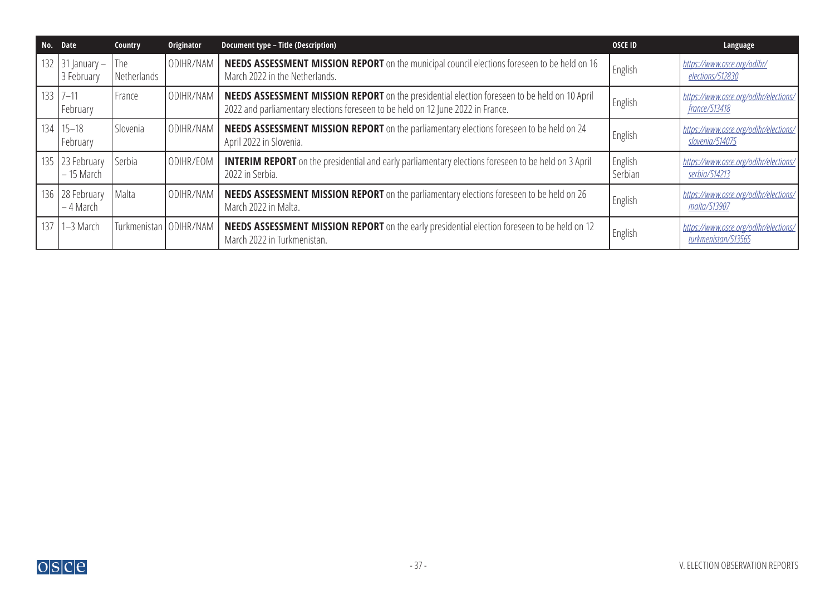| No. Date |                                     | Country                  | Originator | Document type - Title (Description)                                                                                                                                                    | <b>OSCE ID</b>     | Language                                                     |
|----------|-------------------------------------|--------------------------|------------|----------------------------------------------------------------------------------------------------------------------------------------------------------------------------------------|--------------------|--------------------------------------------------------------|
|          | 132   31   anuary $-$<br>3 February | The<br>Netherlands       | ODIHR/NAM  | NEEDS ASSESSMENT MISSION REPORT on the municipal council elections foreseen to be held on 16<br>March 2022 in the Netherlands.                                                         | English            | https://www.osce.org/odihr/<br>elections/512830              |
|          | $133 \mid 7 - 11$<br>February       | France                   | ODIHR/NAM  | <b>NEEDS ASSESSMENT MISSION REPORT</b> on the presidential election foreseen to be held on 10 April<br>2022 and parliamentary elections foreseen to be held on 12 June 2022 in France. | English            | https://www.osce.org/odihr/elections/<br>france/513418       |
|          | $134$   $15-18$<br>February         | Slovenia                 | ODIHR/NAM  | <b>NEEDS ASSESSMENT MISSION REPORT</b> on the parliamentary elections foreseen to be held on 24<br>April 2022 in Slovenia.                                                             | English            | https://www.osce.org/odihr/elections/<br>slovenia/514075     |
|          | 135 23 February<br>$-15$ March      | Serbia                   | ODIHR/EOM  | <b>INTERIM REPORT</b> on the presidential and early parliamentary elections foreseen to be held on 3 April<br>2022 in Serbia.                                                          | English<br>Serbian | https://www.osce.org/odihr/elections/<br>serbia/514213       |
|          | 136 28 February<br>– 4 March        | Malta                    | ODIHR/NAM  | <b>NEEDS ASSESSMENT MISSION REPORT</b> on the parliamentary elections foreseen to be held on 26<br>March 2022 in Malta.                                                                | English            | https://www.osce.org/odihr/elections.<br>malta/513907        |
|          | 137 $1-3$ March                     | Turkmenistan   ODIHR/NAM |            | NEEDS ASSESSMENT MISSION REPORT on the early presidential election foreseen to be held on 12<br>March 2022 in Turkmenistan.                                                            | English            | https://www.osce.org/odihr/elections.<br>turkmenistan/513565 |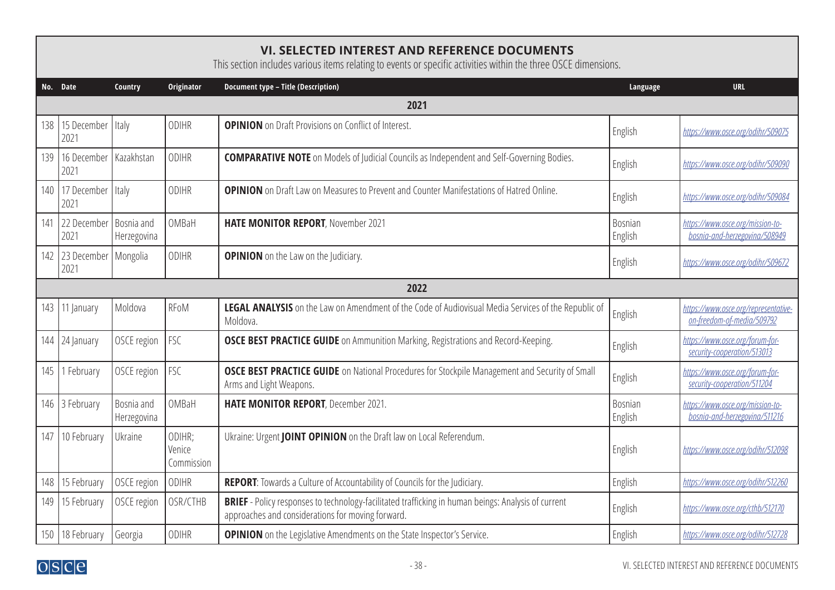## <span id="page-37-0"></span>**VI. SELECTED INTEREST AND REFERENCE DOCUMENTS**

This section includes various items relating to events or specific activities within the three OSCE dimensions.

|     | No. Date                       | Country                   | Originator                     | Document type - Title (Description)                                                                                                                             | Language                  | <b>URL</b>                                                         |  |  |  |  |
|-----|--------------------------------|---------------------------|--------------------------------|-----------------------------------------------------------------------------------------------------------------------------------------------------------------|---------------------------|--------------------------------------------------------------------|--|--|--|--|
|     | 2021                           |                           |                                |                                                                                                                                                                 |                           |                                                                    |  |  |  |  |
| 138 | 15 December<br>2021            | Italy                     | ODIHR                          | <b>OPINION</b> on Draft Provisions on Conflict of Interest.                                                                                                     | English                   | https://www.osce.org/odihr/509075                                  |  |  |  |  |
| 139 | 16 December<br>2021            | Kazakhstan                | <b>ODIHR</b>                   | <b>COMPARATIVE NOTE</b> on Models of Judicial Councils as Independent and Self-Governing Bodies.                                                                | English                   | https://www.osce.org/odihr/509090                                  |  |  |  |  |
| 140 | 17 December Italy<br>2021      |                           | ODIHR                          | <b>OPINION</b> on Draft Law on Measures to Prevent and Counter Manifestations of Hatred Online.                                                                 | English                   | https://www.osce.org/odihr/509084                                  |  |  |  |  |
| 141 | 22 December<br>2021            | Bosnia and<br>Herzegovina | OMBaH                          | HATE MONITOR REPORT, November 2021                                                                                                                              | <b>Bosnian</b><br>English | https://www.osce.org/mission-to-<br>bosnia-and-herzegovina/508949  |  |  |  |  |
| 142 | 23 December   Mongolia<br>2021 |                           | <b>ODIHR</b>                   | <b>OPINION</b> on the Law on the Judiciary.                                                                                                                     | English                   | https://www.osce.org/odihr/509672                                  |  |  |  |  |
|     |                                |                           |                                | 2022                                                                                                                                                            |                           |                                                                    |  |  |  |  |
| 143 | 11 January                     | Moldova                   | RFoM                           | LEGAL ANALYSIS on the Law on Amendment of the Code of Audiovisual Media Services of the Republic of<br>Moldova.                                                 | English                   | https://www.osce.org/representative-<br>on-freedom-of-media/509792 |  |  |  |  |
| 144 | 24 January                     | OSCE region               | <b>FSC</b>                     | <b>OSCE BEST PRACTICE GUIDE</b> on Ammunition Marking, Registrations and Record-Keeping.                                                                        | English                   | https://www.osce.org/forum-for-<br>security-cooperation/513013     |  |  |  |  |
| 145 | February                       | OSCE region               | FSC                            | <b>OSCE BEST PRACTICE GUIDE</b> on National Procedures for Stockpile Management and Security of Small<br>Arms and Light Weapons.                                | English                   | https://www.osce.org/forum-for-<br>security-cooperation/511204     |  |  |  |  |
| 146 | 3 February                     | Bosnia and<br>Herzegovina | OMBaH                          | HATE MONITOR REPORT, December 2021.                                                                                                                             | Bosnian<br>English        | https://www.osce.org/mission-to-<br>bosnia-and-herzegovina/511216  |  |  |  |  |
| 147 | 10 February                    | Ukraine                   | ODIHR;<br>Venice<br>Commission | Ukraine: Urgent JOINT OPINION on the Draft law on Local Referendum.                                                                                             | English                   | https://www.osce.org/odihr/512098                                  |  |  |  |  |
| 148 | 15 February                    | OSCE region               | ODIHR                          | REPORT: Towards a Culture of Accountability of Councils for the Judiciary.                                                                                      | English                   | https://www.osce.org/odihr/512260                                  |  |  |  |  |
| 149 | 15 February                    | OSCE region               | OSR/CTHB                       | <b>BRIEF</b> - Policy responses to technology-facilitated trafficking in human beings: Analysis of current<br>approaches and considerations for moving forward. | English                   | https://www.osce.org/cthb/512170                                   |  |  |  |  |
| 150 | 18 February                    | Georgia                   | ODIHR                          | <b>OPINION</b> on the Legislative Amendments on the State Inspector's Service.                                                                                  | English                   | https://www.osce.org/odihr/512728                                  |  |  |  |  |